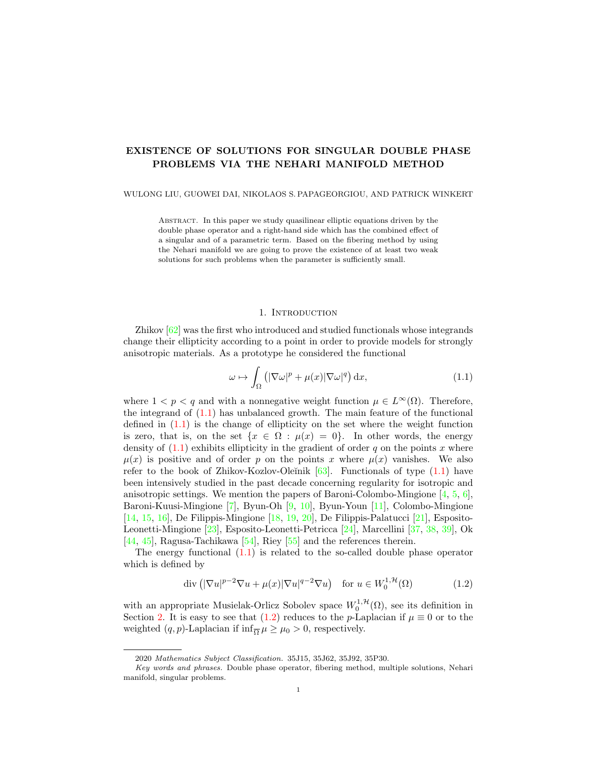## EXISTENCE OF SOLUTIONS FOR SINGULAR DOUBLE PHASE PROBLEMS VIA THE NEHARI MANIFOLD METHOD

#### WULONG LIU, GUOWEI DAI, NIKOLAOS S. PAPAGEORGIOU, AND PATRICK WINKERT

Abstract. In this paper we study quasilinear elliptic equations driven by the double phase operator and a right-hand side which has the combined effect of a singular and of a parametric term. Based on the fibering method by using the Nehari manifold we are going to prove the existence of at least two weak solutions for such problems when the parameter is sufficiently small.

#### <span id="page-0-0"></span>1. INTRODUCTION

<span id="page-0-2"></span>Zhikov [\[62\]](#page-18-0) was the first who introduced and studied functionals whose integrands change their ellipticity according to a point in order to provide models for strongly anisotropic materials. As a prototype he considered the functional

$$
\omega \mapsto \int_{\Omega} \left( |\nabla \omega|^p + \mu(x) |\nabla \omega|^q \right) dx, \tag{1.1}
$$

where  $1 < p < q$  and with a nonnegative weight function  $\mu \in L^{\infty}(\Omega)$ . Therefore, the integrand of [\(1.1\)](#page-0-0) has unbalanced growth. The main feature of the functional defined in [\(1.1\)](#page-0-0) is the change of ellipticity on the set where the weight function is zero, that is, on the set  $\{x \in \Omega : \mu(x) = 0\}$ . In other words, the energy density of  $(1.1)$  exhibits ellipticity in the gradient of order q on the points x where  $\mu(x)$  is positive and of order p on the points x where  $\mu(x)$  vanishes. We also refer to the book of Zhikov-Kozlov-Oleĭnik  $[63]$ . Functionals of type  $(1.1)$  have been intensively studied in the past decade concerning regularity for isotropic and anisotropic settings. We mention the papers of Baroni-Colombo-Mingione  $[4, 5, 6]$  $[4, 5, 6]$  $[4, 5, 6]$  $[4, 5, 6]$  $[4, 5, 6]$ , Baroni-Kuusi-Mingione [\[7\]](#page-16-3), Byun-Oh [\[9,](#page-17-0) [10\]](#page-17-1), Byun-Youn [\[11\]](#page-17-2), Colombo-Mingione [\[14,](#page-17-3) [15,](#page-17-4) [16\]](#page-17-5), De Filippis-Mingione [\[18,](#page-17-6) [19,](#page-17-7) [20\]](#page-17-8), De Filippis-Palatucci [\[21\]](#page-17-9), Esposito-Leonetti-Mingione [\[23\]](#page-17-10), Esposito-Leonetti-Petricca [\[24\]](#page-17-11), Marcellini [\[37,](#page-18-2) [38,](#page-18-3) [39\]](#page-18-4), Ok [\[44,](#page-18-5) [45\]](#page-18-6), Ragusa-Tachikawa [\[54\]](#page-18-7), Riey [\[55\]](#page-18-8) and the references therein.

The energy functional  $(1.1)$  is related to the so-called double phase operator which is defined by

<span id="page-0-1"></span>
$$
\operatorname{div}\left(|\nabla u|^{p-2}\nabla u + \mu(x)|\nabla u|^{q-2}\nabla u\right) \quad \text{for } u \in W_0^{1,\mathcal{H}}(\Omega) \tag{1.2}
$$

with an appropriate Musielak-Orlicz Sobolev space  $W_0^{1, \mathcal{H}}(\Omega)$ , see its definition in Section [2.](#page-2-0) It is easy to see that [\(1.2\)](#page-0-1) reduces to the p-Laplacian if  $\mu \equiv 0$  or to the weighted  $(q, p)$ -Laplacian if  $\inf_{\overline{\Omega}} \mu \ge \mu_0 > 0$ , respectively.

<sup>2020</sup> Mathematics Subject Classification. 35J15, 35J62, 35J92, 35P30.

Key words and phrases. Double phase operator, fibering method, multiple solutions, Nehari manifold, singular problems.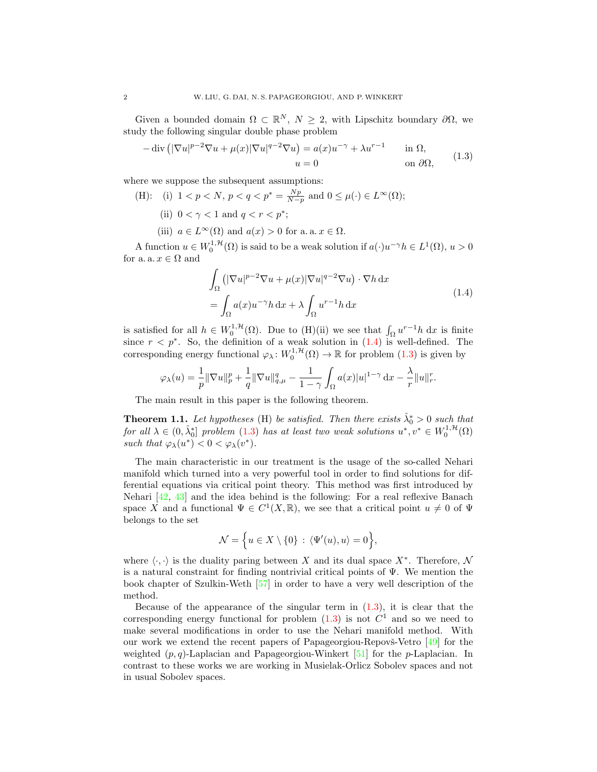Given a bounded domain  $\Omega \subset \mathbb{R}^N$ ,  $N \geq 2$ , with Lipschitz boundary  $\partial \Omega$ , we study the following singular double phase problem

<span id="page-1-1"></span>
$$
-\operatorname{div}\left(|\nabla u|^{p-2}\nabla u + \mu(x)|\nabla u|^{q-2}\nabla u\right) = a(x)u^{-\gamma} + \lambda u^{r-1} \quad \text{in } \Omega,
$$
  
\n
$$
u = 0 \quad \text{on } \partial\Omega,
$$
 (1.3)

where we suppose the subsequent assumptions:

- (H): (i)  $1 < p < N$ ,  $p < q < p^* = \frac{Np}{N-p}$  and  $0 \le \mu(\cdot) \in L^{\infty}(\Omega)$ ; (ii)  $0 < \gamma < 1$  and  $q < r < p^*$ ;
	- (iii)  $a \in L^{\infty}(\Omega)$  and  $a(x) > 0$  for a. a.  $x \in \Omega$ .

A function  $u \in W_0^{1,\mathcal{H}}(\Omega)$  is said to be a weak solution if  $a(\cdot)u^{-\gamma}h \in L^1(\Omega)$ ,  $u > 0$ for a. a.  $x \in \Omega$  and

$$
\int_{\Omega} \left( |\nabla u|^{p-2} \nabla u + \mu(x) |\nabla u|^{q-2} \nabla u \right) \cdot \nabla h \, dx
$$
\n
$$
= \int_{\Omega} a(x) u^{-\gamma} h \, dx + \lambda \int_{\Omega} u^{r-1} h \, dx \tag{1.4}
$$

<span id="page-1-0"></span>is satisfied for all  $h \in W_0^{1,\mathcal{H}}(\Omega)$ . Due to (H)(ii) we see that  $\int_{\Omega} u^{r-1}h \, dx$  is finite since  $r < p^*$ . So, the definition of a weak solution in  $(1.4)$  is well-defined. The corresponding energy functional  $\varphi_\lambda: W_0^{1,\mathcal{H}}(\Omega) \to \mathbb{R}$  for problem  $(1.3)$  is given by

$$
\varphi_\lambda(u)=\frac{1}{p}\|\nabla u\|_p^p+\frac{1}{q}\|\nabla u\|_{q,\mu}^q-\frac{1}{1-\gamma}\int_\Omega a(x)|u|^{1-\gamma}\,\mathrm{d} x-\frac{\lambda}{r}\|u\|_r^r.
$$

The main result in this paper is the following theorem.

<span id="page-1-2"></span>**Theorem 1.1.** Let hypotheses (H) be satisfied. Then there exists  $\hat{\lambda}_0^* > 0$  such that for all  $\lambda \in (0, \hat{\lambda}_0^*]$  problem  $(1.3)$  has at least two weak solutions  $u^*, v^* \in W_0^{1, H}(\Omega)$ such that  $\varphi_\lambda(u^*) < 0 < \varphi_\lambda(v^*)$ .

The main characteristic in our treatment is the usage of the so-called Nehari manifold which turned into a very powerful tool in order to find solutions for differential equations via critical point theory. This method was first introduced by Nehari [\[42,](#page-18-9) [43\]](#page-18-10) and the idea behind is the following: For a real reflexive Banach space X and a functional  $\Psi \in C^1(X,\mathbb{R})$ , we see that a critical point  $u \neq 0$  of  $\Psi$ belongs to the set

$$
\mathcal{N} = \Big\{ u \in X \setminus \{0\} \, : \, \langle \Psi'(u), u \rangle = 0 \Big\},
$$

where  $\langle \cdot, \cdot \rangle$  is the duality paring between X and its dual space X<sup>∗</sup>. Therefore, N is a natural constraint for finding nontrivial critical points of  $\Psi$ . We mention the book chapter of Szulkin-Weth [\[57\]](#page-18-11) in order to have a very well description of the method.

Because of the appearance of the singular term in  $(1.3)$ , it is clear that the corresponding energy functional for problem  $(1.3)$  is not  $C<sup>1</sup>$  and so we need to make several modifications in order to use the Nehari manifold method. With our work we extend the recent papers of Papageorgiou-Repovs-Vetro  $\boxed{49}$  for the weighted  $(p, q)$ -Laplacian and Papageorgiou-Winkert [\[51\]](#page-18-13) for the *p*-Laplacian. In contrast to these works we are working in Musielak-Orlicz Sobolev spaces and not in usual Sobolev spaces.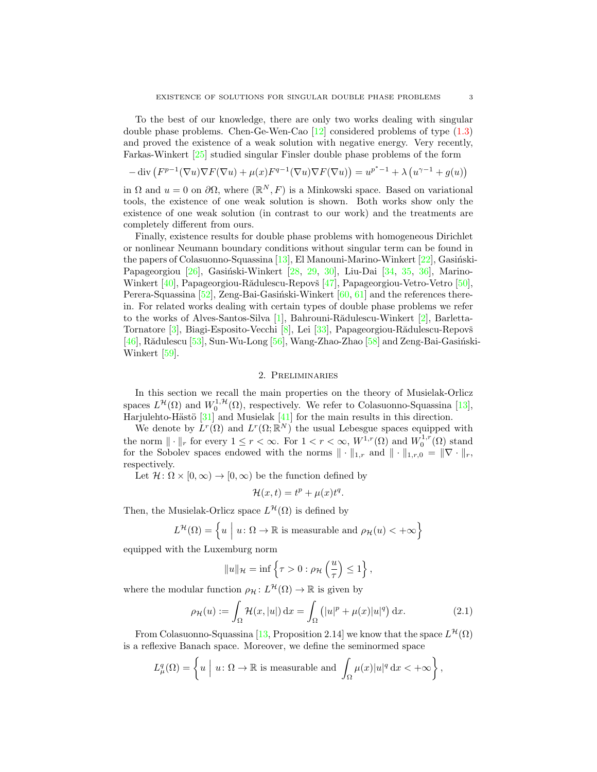To the best of our knowledge, there are only two works dealing with singular double phase problems. Chen-Ge-Wen-Cao [\[12\]](#page-17-12) considered problems of type [\(1.3\)](#page-1-1) and proved the existence of a weak solution with negative energy. Very recently, Farkas-Winkert [\[25\]](#page-17-13) studied singular Finsler double phase problems of the form

$$
-\operatorname{div}\left(F^{p-1}(\nabla u)\nabla F(\nabla u) + \mu(x)F^{q-1}(\nabla u)\nabla F(\nabla u)\right) = u^{p^*-1} + \lambda\left(u^{\gamma-1} + g(u)\right)
$$

in  $\Omega$  and  $u = 0$  on  $\partial\Omega$ , where  $(\mathbb{R}^N, F)$  is a Minkowski space. Based on variational tools, the existence of one weak solution is shown. Both works show only the existence of one weak solution (in contrast to our work) and the treatments are completely different from ours.

Finally, existence results for double phase problems with homogeneous Dirichlet or nonlinear Neumann boundary conditions without singular term can be found in the papers of Colasuonno-Squassina [\[13\]](#page-17-14), El Manouni-Marino-Winkert [\[22\]](#page-17-15), Gasiński-Papageorgiou [\[26\]](#page-17-16), Gasiński-Winkert [\[28,](#page-17-17) [29,](#page-17-18) [30\]](#page-17-19), Liu-Dai [\[34,](#page-17-20) [35,](#page-17-21) [36\]](#page-17-22), Marino-Winkert [\[40\]](#page-18-14), Papageorgiou-Rădulescu-Repovš [\[47\]](#page-18-15), Papageorgiou-Vetro-Vetro [\[50\]](#page-18-16), Perera-Squassina  $[52]$ , Zeng-Bai-Gasiński-Winkert  $[60, 61]$  $[60, 61]$  $[60, 61]$  and the references therein. For related works dealing with certain types of double phase problems we refer to the works of Alves-Santos-Silva  $[1]$ , Bahrouni-Rădulescu-Winkert  $[2]$ , Barletta-Tornatore [\[3\]](#page-16-6), Biagi-Esposito-Vecchi [\[8\]](#page-16-7), Lei [\[33\]](#page-17-23), Papageorgiou-Rădulescu-Repovš  $[46]$ , Rădulescu  $[53]$ , Sun-Wu-Long  $[56]$ , Wang-Zhao-Zhao  $[58]$  and Zeng-Bai-Gasiński-Winkert [\[59\]](#page-18-24).

### 2. Preliminaries

<span id="page-2-0"></span>In this section we recall the main properties on the theory of Musielak-Orlicz spaces  $L^{\mathcal{H}}(\Omega)$  and  $W_0^{1,\mathcal{H}}(\Omega)$ , respectively. We refer to Colasuonno-Squassina [\[13\]](#page-17-14), Harjulehto-Hästö  $[31]$  and Musielak  $[41]$  for the main results in this direction.

We denote by  $L^r(\Omega)$  and  $L^r(\Omega;\mathbb{R}^N)$  the usual Lebesgue spaces equipped with the norm  $\|\cdot\|_r$  for every  $1 \leq r < \infty$ . For  $1 < r < \infty$ ,  $W^{1,r}(\Omega)$  and  $W_0^{1,r}(\Omega)$  stand for the Sobolev spaces endowed with the norms  $\|\cdot\|_{1,r}$  and  $\|\cdot\|_{1,r,0} = \|\nabla \cdot\|_{r}$ , respectively.

Let  $\mathcal{H} \colon \Omega \times [0, \infty) \to [0, \infty)$  be the function defined by

<span id="page-2-1"></span>
$$
\mathcal{H}(x,t) = t^p + \mu(x)t^q.
$$

Then, the Musielak-Orlicz space  $L^{\mathcal{H}}(\Omega)$  is defined by

$$
L^{\mathcal{H}}(\Omega) = \left\{ u \mid u \colon \Omega \to \mathbb{R} \text{ is measurable and } \rho_{\mathcal{H}}(u) < +\infty \right\}
$$

equipped with the Luxemburg norm

$$
||u||_{\mathcal{H}} = \inf \left\{ \tau > 0 : \rho_{\mathcal{H}} \left( \frac{u}{\tau} \right) \le 1 \right\},\
$$

where the modular function  $\rho_{\mathcal{H}}: L^{\mathcal{H}}(\Omega) \to \mathbb{R}$  is given by

$$
\rho_{\mathcal{H}}(u) := \int_{\Omega} \mathcal{H}(x, |u|) dx = \int_{\Omega} (|u|^p + \mu(x)|u|^q) dx.
$$
 (2.1)

From Colasuonno-Squassina [\[13,](#page-17-14) Proposition 2.14] we know that the space  $L^{\mathcal{H}}(\Omega)$ is a reflexive Banach space. Moreover, we define the seminormed space

$$
L^q_\mu(\Omega) = \left\{ u \mid u \colon \Omega \to \mathbb{R} \text{ is measurable and } \int_{\Omega} \mu(x) |u|^q \, \mathrm{d}x < +\infty \right\},
$$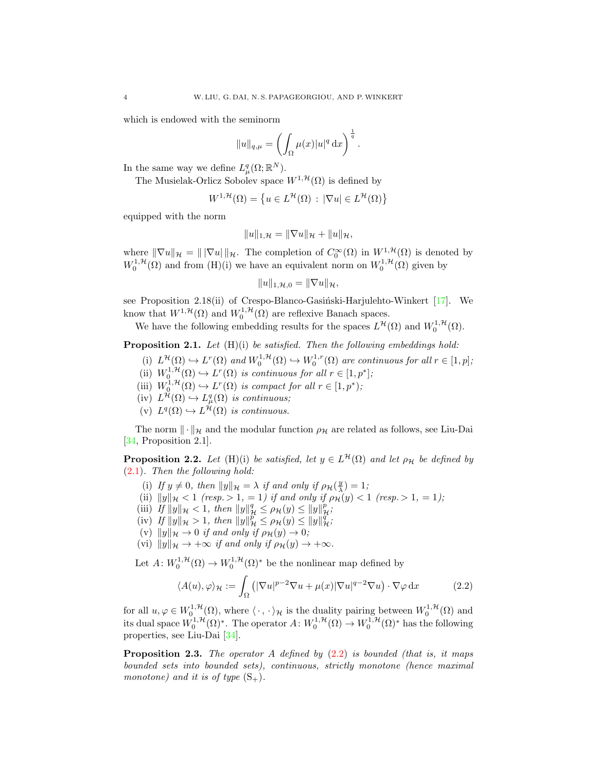which is endowed with the seminorm

$$
||u||_{q,\mu} = \left(\int_{\Omega} \mu(x)|u|^q dx\right)^{\frac{1}{q}}.
$$

In the same way we define  $L^q_\mu(\Omega;\mathbb{R}^N)$ .

The Musielak-Orlicz Sobolev space  $W^{1, \mathcal{H}}(\Omega)$  is defined by

$$
W^{1,\mathcal{H}}(\Omega) = \left\{ u \in L^{\mathcal{H}}(\Omega) \, : \, |\nabla u| \in L^{\mathcal{H}}(\Omega) \right\}
$$

equipped with the norm

$$
||u||_{1,\mathcal{H}} = ||\nabla u||_{\mathcal{H}} + ||u||_{\mathcal{H}},
$$

where  $\|\nabla u\|_{\mathcal{H}} = \|\nabla u\|_{\mathcal{H}}$ . The completion of  $C_0^{\infty}(\Omega)$  in  $W^{1,\mathcal{H}}(\Omega)$  is denoted by  $W_0^{1,\mathcal{H}}(\Omega)$  and from  $(H)(i)$  we have an equivalent norm on  $W_0^{1,\mathcal{H}}(\Omega)$  given by

$$
||u||_{1,\mathcal{H},0}=||\nabla u||_{\mathcal{H}},
$$

see Proposition 2.18(ii) of Crespo-Blanco-Gasiński-Harjulehto-Winkert  $[17]$ . We know that  $W^{1,\mathcal{H}}(\Omega)$  and  $W_0^{1,\mathcal{H}}(\Omega)$  are reflexive Banach spaces.

We have the following embedding results for the spaces  $L^{\mathcal{H}}(\Omega)$  and  $W_0^{1,\mathcal{H}}(\Omega)$ .

<span id="page-3-2"></span>**Proposition 2.1.** Let  $(H)(i)$  be satisfied. Then the following embeddings hold:

- (i)  $L^{\mathcal{H}}(\Omega) \hookrightarrow L^{r}(\Omega)$  and  $W_0^{1,\mathcal{H}}(\Omega) \hookrightarrow W_0^{1,r}(\Omega)$  are continuous for all  $r \in [1,p]$ ;
- (ii)  $W_0^{1,\mathcal{H}}(\Omega) \hookrightarrow L^r(\Omega)$  is continuous for all  $r \in [1,p^*];$
- (iii)  $W_0^{1,\mathcal{H}}(\Omega) \hookrightarrow L^r(\Omega)$  is compact for all  $r \in [1,p^*);$
- $(iv) L^{\mathcal{H}}(\Omega) \hookrightarrow L^q_{\mu}(\Omega)$  is continuous;
- (v)  $L^q(\Omega) \hookrightarrow L^{\mathcal{H}}(\Omega)$  is continuous.

The norm  $\|\cdot\|_{\mathcal{H}}$  and the modular function  $\rho_{\mathcal{H}}$  are related as follows, see Liu-Dai [\[34,](#page-17-20) Proposition 2.1].

<span id="page-3-1"></span>**Proposition 2.2.** Let (H)(i) be satisfied, let  $y \in L^{\mathcal{H}}(\Omega)$  and let  $\rho_{\mathcal{H}}$  be defined by [\(2.1\)](#page-2-1). Then the following hold:

- (i) If  $y \neq 0$ , then  $||y||_{\mathcal{H}} = \lambda$  if and only if  $\rho_{\mathcal{H}}(\frac{y}{\lambda}) = 1$ ;
- (ii)  $||y||_{\mathcal{H}} < 1$  (resp.  $> 1, = 1$ ) if and only if  $\rho_{\mathcal{H}}(y) < 1$  (resp.  $> 1, = 1$ );
- (iii) If  $||y||_{\mathcal{H}} < 1$ , then  $||y||_{\mathcal{H}}^q \le \rho_{\mathcal{H}}(y) \le ||y||_{\mathcal{H}}^p$ ;
- (iv) If  $||y||_{\mathcal{H}} > 1$ , then  $||y||_{\mathcal{H}}^p \le \rho_{\mathcal{H}}(y) \le ||y||_{\mathcal{H}}^q$ ;
- (v)  $||y||_{\mathcal{H}} \to 0$  if and only if  $\rho_{\mathcal{H}}(y) \to 0;$
- (vi)  $||y||_{\mathcal{H}} \rightarrow +\infty$  if and only if  $\rho_{\mathcal{H}}(y) \rightarrow +\infty$ .

Let  $A: W_0^{1, \mathcal{H}}(\Omega) \to W_0^{1, \mathcal{H}}(\Omega)^*$  be the nonlinear map defined by

<span id="page-3-0"></span>
$$
\langle A(u), \varphi \rangle_{\mathcal{H}} := \int_{\Omega} \left( |\nabla u|^{p-2} \nabla u + \mu(x) |\nabla u|^{q-2} \nabla u \right) \cdot \nabla \varphi \, dx \tag{2.2}
$$

for all  $u, \varphi \in W_0^{1,\mathcal{H}}(\Omega)$ , where  $\langle \cdot, \cdot \rangle_{\mathcal{H}}$  is the duality pairing between  $W_0^{1,\mathcal{H}}(\Omega)$  and its dual space  $W_0^{1,\mathcal{H}}(\Omega)^*$ . The operator  $A\colon W_0^{1,\mathcal{H}}(\Omega) \to W_0^{1,\mathcal{H}}(\Omega)^*$  has the following properties, see Liu-Dai [\[34\]](#page-17-20).

**Proposition 2.3.** The operator A defined by  $(2.2)$  is bounded (that is, it maps bounded sets into bounded sets), continuous, strictly monotone (hence maximal monotone) and it is of type  $(S_+)$ .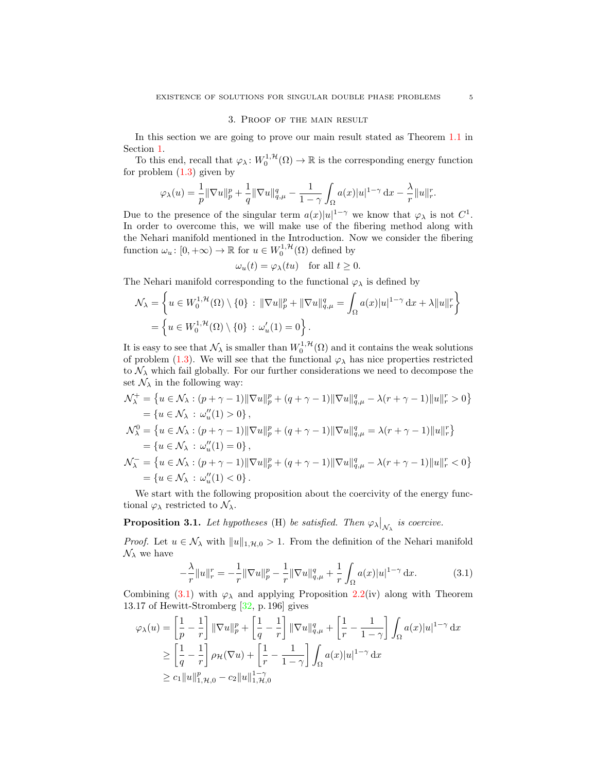#### 3. Proof of the main result

In this section we are going to prove our main result stated as Theorem [1.1](#page-1-2) in Section [1.](#page-0-2)

To this end, recall that  $\varphi_\lambda \colon W_0^{1,\mathcal{H}}(\Omega) \to \mathbb{R}$  is the corresponding energy function for problem  $(1.3)$  given by

$$
\varphi_{\lambda}(u) = \frac{1}{p} \|\nabla u\|_{p}^{p} + \frac{1}{q} \|\nabla u\|_{q,\mu}^{q} - \frac{1}{1-\gamma} \int_{\Omega} a(x)|u|^{1-\gamma} dx - \frac{\lambda}{r} \|u\|_{r}^{r}.
$$

Due to the presence of the singular term  $a(x)|u|^{1-\gamma}$  we know that  $\varphi_{\lambda}$  is not  $C^1$ . In order to overcome this, we will make use of the fibering method along with the Nehari manifold mentioned in the Introduction. Now we consider the fibering function  $\omega_u: [0, +\infty) \to \mathbb{R}$  for  $u \in W_0^{1, \mathcal{H}}(\Omega)$  defined by

$$
\omega_u(t) = \varphi_\lambda(tu) \quad \text{for all } t \ge 0.
$$

The Nehari manifold corresponding to the functional  $\varphi_{\lambda}$  is defined by

$$
\mathcal{N}_{\lambda} = \left\{ u \in W_0^{1, \mathcal{H}}(\Omega) \setminus \{0\} : \|\nabla u\|_p^p + \|\nabla u\|_{q,\mu}^q = \int_{\Omega} a(x)|u|^{1-\gamma} dx + \lambda \|u\|_r^r \right\}
$$

$$
= \left\{ u \in W_0^{1, \mathcal{H}}(\Omega) \setminus \{0\} : \omega_u'(1) = 0 \right\}.
$$

It is easy to see that  $\mathcal{N}_{\lambda}$  is smaller than  $W_0^{1,\mathcal{H}}(\Omega)$  and it contains the weak solutions of problem [\(1.3\)](#page-1-1). We will see that the functional  $\varphi_{\lambda}$  has nice properties restricted to  $\mathcal{N}_{\lambda}$  which fail globally. For our further considerations we need to decompose the set  $\mathcal{N}_{\lambda}$  in the following way:

$$
\mathcal{N}_{\lambda}^{+} = \{ u \in \mathcal{N}_{\lambda} : (p + \gamma - 1) ||\nabla u||_{p}^{p} + (q + \gamma - 1) ||\nabla u||_{q,\mu}^{q} - \lambda (r + \gamma - 1) ||u||_{r}^{r} > 0 \}
$$
  
\n
$$
= \{ u \in \mathcal{N}_{\lambda} : \omega_{u}''(1) > 0 \},
$$
  
\n
$$
\mathcal{N}_{\lambda}^{0} = \{ u \in \mathcal{N}_{\lambda} : (p + \gamma - 1) ||\nabla u||_{p}^{p} + (q + \gamma - 1) ||\nabla u||_{q,\mu}^{q} = \lambda (r + \gamma - 1) ||u||_{r}^{r} \}
$$
  
\n
$$
= \{ u \in \mathcal{N}_{\lambda} : \omega_{u}''(1) = 0 \},
$$
  
\n
$$
\mathcal{N}_{\lambda}^{-} = \{ u \in \mathcal{N}_{\lambda} : (p + \gamma - 1) ||\nabla u||_{p}^{p} + (q + \gamma - 1) ||\nabla u||_{q,\mu}^{q} - \lambda (r + \gamma - 1) ||u||_{r}^{r} < 0 \}
$$
  
\n
$$
= \{ u \in \mathcal{N}_{\lambda} : \omega_{u}''(1) < 0 \}.
$$

We start with the following proposition about the coercivity of the energy functional  $\varphi_{\lambda}$  restricted to  $\mathcal{N}_{\lambda}$ .

# <span id="page-4-1"></span>**Proposition 3.1.** Let hypotheses (H) be satisfied. Then  $\varphi_{\lambda}|_{\mathcal{N}_{\lambda}}$  is coercive.

*Proof.* Let  $u \in \mathcal{N}_{\lambda}$  with  $||u||_{1,\mathcal{H},0} > 1$ . From the definition of the Nehari manifold  $\mathcal{N}_{\lambda}$  we have

<span id="page-4-0"></span>
$$
-\frac{\lambda}{r}||u||_{r}^{r} = -\frac{1}{r}||\nabla u||_{p}^{p} - \frac{1}{r}||\nabla u||_{q,\mu}^{q} + \frac{1}{r}\int_{\Omega}a(x)|u|^{1-\gamma} dx.
$$
 (3.1)

Combining [\(3.1\)](#page-4-0) with  $\varphi_{\lambda}$  and applying Proposition [2.2\(](#page-3-1)iv) along with Theorem 13.17 of Hewitt-Stromberg [\[32,](#page-17-26) p. 196] gives

$$
\varphi_{\lambda}(u) = \left[\frac{1}{p} - \frac{1}{r}\right] \|\nabla u\|_{p}^{p} + \left[\frac{1}{q} - \frac{1}{r}\right] \|\nabla u\|_{q,\mu}^{q} + \left[\frac{1}{r} - \frac{1}{1-\gamma}\right] \int_{\Omega} a(x)|u|^{1-\gamma} dx
$$
  
\n
$$
\geq \left[\frac{1}{q} - \frac{1}{r}\right] \rho_{\mathcal{H}}(\nabla u) + \left[\frac{1}{r} - \frac{1}{1-\gamma}\right] \int_{\Omega} a(x)|u|^{1-\gamma} dx
$$
  
\n
$$
\geq c_{1} \|u\|_{1, \mathcal{H}, 0}^{p} - c_{2} \|u\|_{1, \mathcal{H}, 0}^{1-\gamma}
$$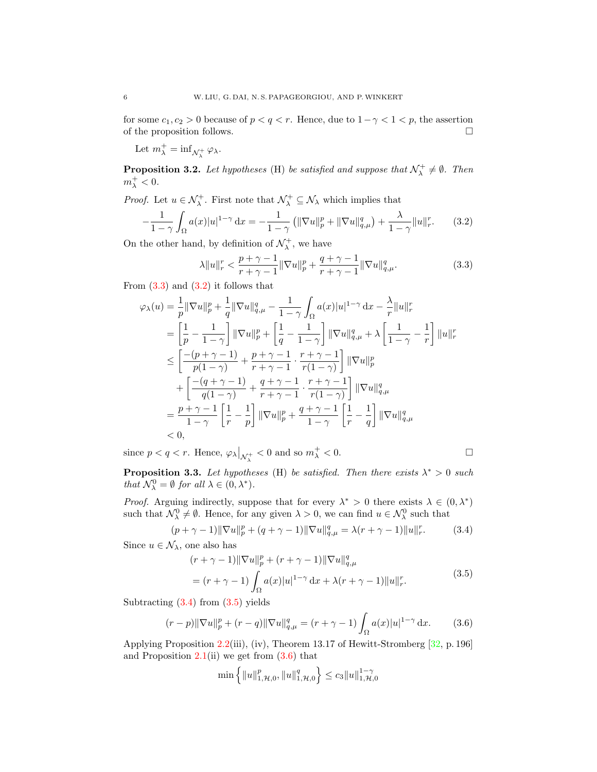for some  $c_1, c_2 > 0$  because of  $p < q < r$ . Hence, due to  $1 - \gamma < 1 < p$ , the assertion of the proposition follows.  $\Box$ 

Let  $m_{\lambda}^+ = \inf_{\mathcal{N}_{\lambda}^+} \varphi_{\lambda}$ .

<span id="page-5-6"></span>**Proposition 3.2.** Let hypotheses (H) be satisfied and suppose that  $\mathcal{N}^+_\lambda \neq \emptyset$ . Then  $m_\lambda^+ < 0.$ 

*Proof.* Let  $u \in \mathcal{N}_{\lambda}^+$ . First note that  $\mathcal{N}_{\lambda}^+ \subseteq \mathcal{N}_{\lambda}$  which implies that

$$
-\frac{1}{1-\gamma} \int_{\Omega} a(x)|u|^{1-\gamma} \, \mathrm{d}x = -\frac{1}{1-\gamma} \left( \|\nabla u\|_{p}^{p} + \|\nabla u\|_{q,\mu}^{q} \right) + \frac{\lambda}{1-\gamma} \|u\|_{r}^{r}.\tag{3.2}
$$

On the other hand, by definition of  $\mathcal{N}_{\lambda}^{+}$ , we have

<span id="page-5-1"></span><span id="page-5-0"></span>
$$
\lambda \|u\|_{r}^{r} < \frac{p+\gamma-1}{r+\gamma-1} \|\nabla u\|_{p}^{p} + \frac{q+\gamma-1}{r+\gamma-1} \|\nabla u\|_{q,\mu}^{q}.\tag{3.3}
$$

From  $(3.3)$  and  $(3.2)$  it follows that

$$
\varphi_{\lambda}(u) = \frac{1}{p} \|\nabla u\|_{p}^{p} + \frac{1}{q} \|\nabla u\|_{q,\mu}^{q} - \frac{1}{1-\gamma} \int_{\Omega} a(x)|u|^{1-\gamma} dx - \frac{\lambda}{r} \|u\|_{r}^{r}
$$
  
\n
$$
= \left[\frac{1}{p} - \frac{1}{1-\gamma}\right] \|\nabla u\|_{p}^{p} + \left[\frac{1}{q} - \frac{1}{1-\gamma}\right] \|\nabla u\|_{q,\mu}^{q} + \lambda \left[\frac{1}{1-\gamma} - \frac{1}{r}\right] \|u\|_{r}^{r}
$$
  
\n
$$
\leq \left[\frac{-(p+\gamma-1)}{p(1-\gamma)} + \frac{p+\gamma-1}{r+\gamma-1} \cdot \frac{r+\gamma-1}{r(1-\gamma)}\right] \|\nabla u\|_{p}^{p}
$$
  
\n
$$
+ \left[\frac{-(q+\gamma-1)}{q(1-\gamma)} + \frac{q+\gamma-1}{r+\gamma-1} \cdot \frac{r+\gamma-1}{r(1-\gamma)}\right] \|\nabla u\|_{q,\mu}^{q}
$$
  
\n
$$
= \frac{p+\gamma-1}{1-\gamma} \left[\frac{1}{r} - \frac{1}{p}\right] \|\nabla u\|_{p}^{p} + \frac{q+\gamma-1}{1-\gamma} \left[\frac{1}{r} - \frac{1}{q}\right] \|\nabla u\|_{q,\mu}^{q}
$$
  
\n
$$
< 0,
$$

since  $p < q < r$ . Hence,  $\varphi_{\lambda}|_{\mathcal{N}_{\lambda}^{+}} < 0$  and so  $m_{\lambda}^{+} < 0$ .

<span id="page-5-5"></span>**Proposition 3.3.** Let hypotheses (H) be satisfied. Then there exists  $\lambda^* > 0$  such that  $\mathcal{N}_{\lambda}^0 = \emptyset$  for all  $\lambda \in (0, \lambda^*)$ .

*Proof.* Arguing indirectly, suppose that for every  $\lambda^* > 0$  there exists  $\lambda \in (0, \lambda^*)$ such that  $\mathcal{N}_{\lambda}^0 \neq \emptyset$ . Hence, for any given  $\lambda > 0$ , we can find  $u \in \mathcal{N}_{\lambda}^0$  such that

$$
(p + \gamma - 1) \|\nabla u\|_p^p + (q + \gamma - 1) \|\nabla u\|_{q,\mu}^q = \lambda (r + \gamma - 1) \|u\|_r^r. \tag{3.4}
$$

Since  $u \in \mathcal{N}_{\lambda}$ , one also has

<span id="page-5-2"></span>
$$
(r + \gamma - 1) \|\nabla u\|_{p}^{p} + (r + \gamma - 1) \|\nabla u\|_{q,\mu}^{q}
$$
  
=  $(r + \gamma - 1) \int_{\Omega} a(x)|u|^{1-\gamma} dx + \lambda (r + \gamma - 1) \|u\|_{r}^{r}.$  (3.5)

Subtracting  $(3.4)$  from  $(3.5)$  yields

$$
(r-p)\|\nabla u\|_{p}^{p} + (r-q)\|\nabla u\|_{q,\mu}^{q} = (r+\gamma-1)\int_{\Omega}a(x)|u|^{1-\gamma} dx.
$$
 (3.6)

Applying Proposition [2.2\(](#page-3-1)iii), (iv), Theorem 13.17 of Hewitt-Stromberg [\[32,](#page-17-26) p. 196] and Proposition  $2.1(ii)$  $2.1(ii)$  we get from  $(3.6)$  that

<span id="page-5-4"></span><span id="page-5-3"></span>
$$
\min\left\{\|u\|_{1,\mathcal{H},0}^p,\|u\|_{1,\mathcal{H},0}^q\right\}\le c_3\|u\|_{1,\mathcal{H},0}^{1-\gamma}
$$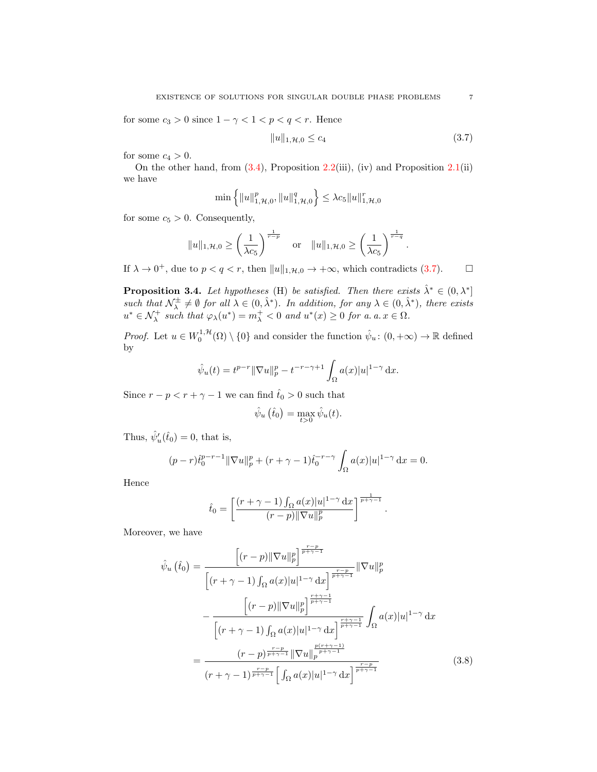for some  $c_3>0$  since  $1-\gamma<1< p< q< r.$  Hence

<span id="page-6-0"></span>
$$
||u||_{1,\mathcal{H},0} \le c_4 \tag{3.7}
$$

for some  $c_4 > 0$ .

On the other hand, from  $(3.4)$ , Proposition [2.2\(](#page-3-1)iii), (iv) and Proposition [2.1\(](#page-3-2)ii) we have

$$
\min\left\{\|u\|_{1,\mathcal{H},0}^p,\|u\|_{1,\mathcal{H},0}^q\right\} \leq \lambda c_5 \|u\|_{1,\mathcal{H},0}^r
$$

for some  $c_5 > 0$ . Consequently,

$$
||u||_{1,\mathcal{H},0} \ge \left(\frac{1}{\lambda c_5}\right)^{\frac{1}{r-p}}
$$
 or  $||u||_{1,\mathcal{H},0} \ge \left(\frac{1}{\lambda c_5}\right)^{\frac{1}{r-q}}$ .

If  $\lambda \to 0^+$ , due to  $p < q < r$ , then  $||u||_{1,\mathcal{H},0} \to +\infty$ , which contradicts [\(3.7\)](#page-6-0).

<span id="page-6-2"></span>**Proposition 3.4.** Let hypotheses (H) be satisfied. Then there exists  $\hat{\lambda}^* \in (0, \lambda^*]$ such that  $\mathcal{N}_{\lambda}^{\pm} \neq \emptyset$  for all  $\lambda \in (0, \hat{\lambda}^*)$ . In addition, for any  $\lambda \in (0, \hat{\lambda}^*)$ , there exists  $u^* \in \mathcal{N}^+_{\lambda}$  such that  $\varphi_{\lambda}(u^*) = m_{\lambda}^+ < 0$  and  $u^*(x) \geq 0$  for a. a.  $x \in \Omega$ .

*Proof.* Let  $u \in W_0^{1,\mathcal{H}}(\Omega) \setminus \{0\}$  and consider the function  $\hat{\psi}_u : (0, +\infty) \to \mathbb{R}$  defined by

$$
\hat{\psi}_u(t) = t^{p-r} \|\nabla u\|_p^p - t^{-r-\gamma+1} \int_{\Omega} a(x)|u|^{1-\gamma} dx.
$$

Since  $r - p < r + \gamma - 1$  we can find  $\hat{t}_0 > 0$  such that

$$
\hat{\psi}_u(\hat{t}_0) = \max_{t>0} \hat{\psi}_u(t).
$$

Thus,  $\hat{\psi}'_u(\hat{t}_0) = 0$ , that is,

$$
(p-r)\hat{t}_0^{p-r-1} \|\nabla u\|_p^p + (r+\gamma-1)\hat{t}_0^{-r-\gamma} \int_{\Omega} a(x)|u|^{1-\gamma} dx = 0.
$$

Hence

<span id="page-6-1"></span>
$$
\hat{t}_0 = \left[ \frac{(r+\gamma-1) \int_{\Omega} a(x)|u|^{1-\gamma} dx}{(r-p) \|\nabla u\|_p^p} \right]^{\frac{1}{p+\gamma-1}}.
$$

Moreover, we have

$$
\hat{\psi}_{u}\left(\hat{t}_{0}\right) = \frac{\left[(r-p)\|\nabla u\|_{p}^{p}\right]^{\frac{r-p}{p+\gamma-1}}}{\left[(r+\gamma-1)\int_{\Omega} a(x)|u|^{1-\gamma} dx\right]^{\frac{r-p}{p+\gamma-1}}} \|\nabla u\|_{p}^{p}
$$
\n
$$
-\frac{\left[(r-p)\|\nabla u\|_{p}^{p}\right]^{\frac{r+\gamma-1}{p+\gamma-1}}}{\left[(r+\gamma-1)\int_{\Omega} a(x)|u|^{1-\gamma} dx\right]^{\frac{r+\gamma-1}{p+\gamma-1}}} \int_{\Omega} a(x)|u|^{1-\gamma} dx
$$
\n
$$
=\frac{(r-p)^{\frac{r-p}{p+\gamma-1}} \|\nabla u\|_{p}^{\frac{p(r+\gamma-1)}{p+\gamma-1}}}{\left(r+\gamma-1\right)^{\frac{r-p}{p+\gamma-1}} \left[\int_{\Omega} a(x)|u|^{1-\gamma} dx\right]^{\frac{r-p}{p+\gamma-1}}}
$$
\n(3.8)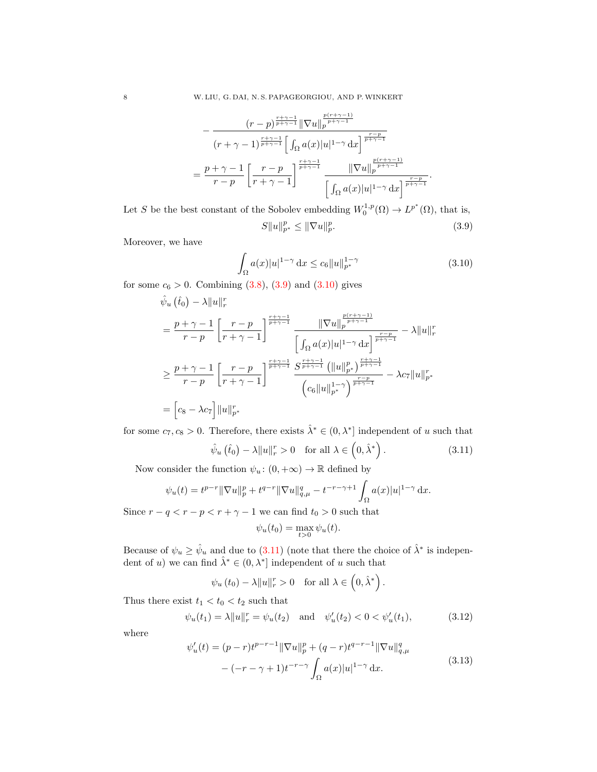$$
-\frac{(r-p)^{\frac{r+\gamma-1}{p+\gamma-1}}\|\nabla u\|_{p}^{\frac{p(r+\gamma-1)}{p+\gamma-1}}}{(r+\gamma-1)^{\frac{r+\gamma-1}{p+\gamma-1}}\Big[\int_{\Omega}a(x)|u|^{1-\gamma}\,\mathrm{d}x\Big]^{\frac{r-p}{p+\gamma-1}}}
$$

$$
=\frac{p+\gamma-1}{r-p}\left[\frac{r-p}{r+\gamma-1}\right]^{\frac{r+\gamma-1}{p+\gamma-1}}\frac{\|\nabla u\|_{p}^{\frac{p(r+\gamma-1)}{p+\gamma-1}}}{\Big[\int_{\Omega}a(x)|u|^{1-\gamma}\,\mathrm{d}x\Big]^{\frac{r-p}{p+\gamma-1}}}.
$$

Let S be the best constant of the Sobolev embedding  $W_0^{1,p}(\Omega) \to L^{p^*}(\Omega)$ , that is,  $||S||u||_{p^{*}}^{p} \leq ||\nabla u||_{p}^{p}$  $(3.9)$ 

Moreover, we have

<span id="page-7-1"></span><span id="page-7-0"></span>
$$
\int_{\Omega} a(x)|u|^{1-\gamma} dx \le c_6 \|u\|_{p^*}^{1-\gamma}
$$
\n(3.10)

for some  $c_6 > 0$ . Combining  $(3.8)$ ,  $(3.9)$  and  $(3.10)$  gives

$$
\hat{\psi}_{u}(\hat{t}_{0}) - \lambda \|u\|_{r}^{r}
$$
\n
$$
= \frac{p + \gamma - 1}{r - p} \left[ \frac{r - p}{r + \gamma - 1} \right]^{\frac{r + \gamma - 1}{p + \gamma - 1}} \frac{\|\nabla u\|_{p}^{\frac{p(r + \gamma - 1)}{p + \gamma - 1}}}{\left[\int_{\Omega} a(x)|u|^{1 - \gamma} dx\right]^{\frac{r - p}{p + \gamma - 1}}} - \lambda \|u\|_{r}^{r}
$$
\n
$$
\geq \frac{p + \gamma - 1}{r - p} \left[ \frac{r - p}{r + \gamma - 1} \right]^{\frac{r + \gamma - 1}{p + \gamma - 1}} \frac{S^{\frac{r + \gamma - 1}{p + \gamma - 1}}}{\left(\int_{C_{6}}^{\infty} \|u\|_{p^{*}}^{p + \gamma - 1}} \frac{\left(\|u\|_{p^{*}}^{p}\right)^{\frac{r + \gamma - 1}{p + \gamma - 1}}}{\left(\int_{C_{6}}^{\infty} \|u\|_{p^{*}}^{1 - \gamma}\right)^{\frac{r - p}{p + \gamma - 1}}} - \lambda c_{7} \|u\|_{p^{*}}^{r}
$$
\n
$$
= \left[c_{8} - \lambda c_{7}\right] \|u\|_{p^{*}}^{r}
$$

for some  $c_7, c_8 > 0$ . Therefore, there exists  $\hat{\lambda}^* \in (0, \lambda^*]$  independent of u such that

$$
\hat{\psi}_u\left(\hat{t}_0\right) - \lambda \|u\|_r^r > 0 \quad \text{for all } \lambda \in \left(0, \hat{\lambda}^*\right). \tag{3.11}
$$

Now consider the function  $\psi_u : (0, +\infty) \to \mathbb{R}$  defined by

$$
\psi_u(t) = t^{p-r} \|\nabla u\|_p^p + t^{q-r} \|\nabla u\|_{q,\mu}^q - t^{-r-\gamma+1} \int_{\Omega} a(x)|u|^{1-\gamma} dx.
$$

Since  $r - q < r - p < r + \gamma - 1$  we can find  $t_0 > 0$  such that

<span id="page-7-4"></span><span id="page-7-2"></span>
$$
\psi_u(t_0) = \max_{t>0} \psi_u(t).
$$

Because of  $\psi_u \ge \hat{\psi}_u$  and due to [\(3.11\)](#page-7-2) (note that there the choice of  $\hat{\lambda}^*$  is independent of u) we can find  $\hat{\lambda}^* \in (0, \lambda^*]$  independent of u such that

$$
\psi_u(t_0) - \lambda ||u||_r^r > 0
$$
 for all  $\lambda \in (0, \hat{\lambda}^*)$ .

Thus there exist  $t_1 < t_0 < t_2$  such that

<span id="page-7-3"></span>
$$
\psi_u(t_1) = \lambda \|u\|_r^r = \psi_u(t_2)
$$
 and  $\psi'_u(t_2) < 0 < \psi'_u(t_1)$ , (3.12)

where

$$
\psi'_u(t) = (p-r)t^{p-r-1} \|\nabla u\|_p^p + (q-r)t^{q-r-1} \|\nabla u\|_{q,\mu}^q
$$
  

$$
-(-r-\gamma+1)t^{-r-\gamma} \int_{\Omega} a(x)|u|^{1-\gamma} dx.
$$
 (3.13)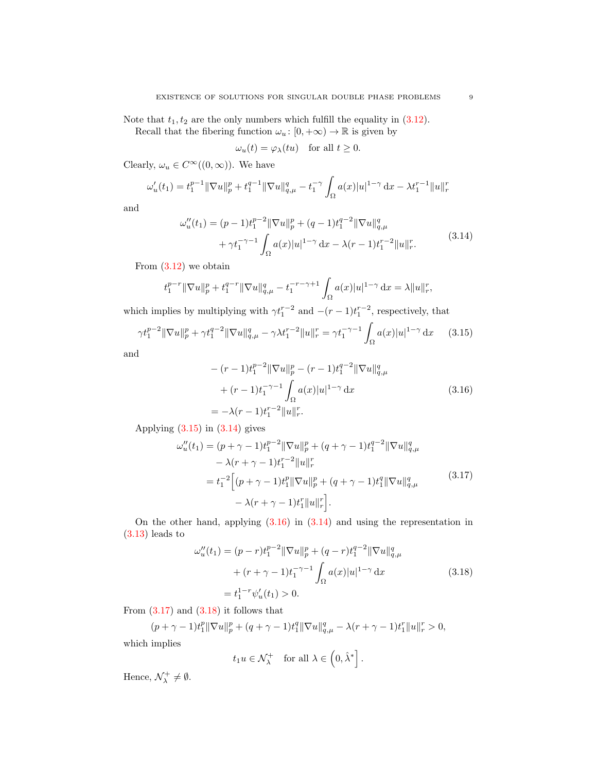Note that  $t_1, t_2$  are the only numbers which fulfill the equality in [\(3.12\)](#page-7-3).

Recall that the fibering function  $\omega_u : [0, +\infty) \to \mathbb{R}$  is given by

<span id="page-8-1"></span>
$$
\omega_u(t) = \varphi_\lambda(tu) \quad \text{for all } t \ge 0.
$$

Clearly,  $\omega_u \in C^\infty((0,\infty))$ . We have

$$
\omega'_u(t_1) = t_1^{p-1} \|\nabla u\|_p^p + t_1^{q-1} \|\nabla u\|_{q,\mu}^q - t_1^{-\gamma} \int_{\Omega} a(x)|u|^{1-\gamma} dx - \lambda t_1^{r-1} \|u\|_r^r
$$

and

$$
\omega_{u}''(t_{1}) = (p-1)t_{1}^{p-2} \|\nabla u\|_{p}^{p} + (q-1)t_{1}^{q-2} \|\nabla u\|_{q,\mu}^{q} + \gamma t_{1}^{-\gamma-1} \int_{\Omega} a(x)|u|^{1-\gamma} dx - \lambda(r-1)t_{1}^{r-2} \|u\|_{r}^{r}.
$$
\n(3.14)

From  $(3.12)$  we obtain

$$
t_1^{p-r} \|\nabla u\|_p^p + t_1^{q-r} \|\nabla u\|_{q,\mu}^q - t_1^{-r-\gamma+1} \int_{\Omega} a(x)|u|^{1-\gamma} \, \mathrm{d}x = \lambda \|u\|_r^r,
$$

which implies by multiplying with  $\gamma t_1^{r-2}$  and  $-(r-1)t_1^{r-2}$ , respectively, that

$$
\gamma t_1^{p-2} \|\nabla u\|_p^p + \gamma t_1^{q-2} \|\nabla u\|_{q,\mu}^q - \gamma \lambda t_1^{r-2} \|u\|_r^r = \gamma t_1^{-\gamma-1} \int_{\Omega} a(x)|u|^{1-\gamma} dx \qquad (3.15)
$$

and

<span id="page-8-3"></span><span id="page-8-2"></span><span id="page-8-0"></span>
$$
-(r-1)t_1^{p-2} \|\nabla u\|_p^p - (r-1)t_1^{q-2} \|\nabla u\|_{q,\mu}^q
$$
  
+ 
$$
(r-1)t_1^{-\gamma-1} \int_{\Omega} a(x)|u|^{1-\gamma} dx
$$
  
= 
$$
-\lambda(r-1)t_1^{r-2} \|u\|_r^r.
$$
 (3.16)

Applying  $(3.15)$  in  $(3.14)$  gives

$$
\omega_{u}''(t_{1}) = (p + \gamma - 1)t_{1}^{p-2} \|\nabla u\|_{p}^{p} + (q + \gamma - 1)t_{1}^{q-2} \|\nabla u\|_{q,\mu}^{q}
$$

$$
- \lambda (r + \gamma - 1)t_{1}^{r-2} \|u\|_{r}^{r}
$$

$$
= t_{1}^{-2} \Big[ (p + \gamma - 1)t_{1}^{p} \|\nabla u\|_{p}^{p} + (q + \gamma - 1)t_{1}^{q} \|\nabla u\|_{q,\mu}^{q}
$$
(3.17)
$$
- \lambda (r + \gamma - 1)t_{1}^{r} \|u\|_{r}^{r} \Big].
$$

On the other hand, applying [\(3.16\)](#page-8-2) in [\(3.14\)](#page-8-1) and using the representation in [\(3.13\)](#page-7-4) leads to

$$
\omega''_u(t_1) = (p-r)t_1^{p-2} \|\nabla u\|_p^p + (q-r)t_1^{q-2} \|\nabla u\|_{q,\mu}^q
$$

$$
+ (r+\gamma-1)t_1^{-\gamma-1} \int_{\Omega} a(x)|u|^{1-\gamma} dx
$$

$$
= t_1^{1-r} \psi'_u(t_1) > 0.
$$
 (3.18)

<span id="page-8-4"></span>From  $(3.17)$  and  $(3.18)$  it follows that

 $(p + \gamma - 1)t_1^p \|\nabla u\|_p^p + (q + \gamma - 1)t_1^q \|\nabla u\|_{q,\mu}^q - \lambda(r + \gamma - 1)t_1^r \|u\|_r^r > 0,$ which implies

$$
t_1 u \in \mathcal{N}_{\lambda}^+
$$
 for all  $\lambda \in (0, \hat{\lambda}^*]$ .

Hence,  $\mathcal{N}_{\lambda}^{+} \neq \emptyset$ .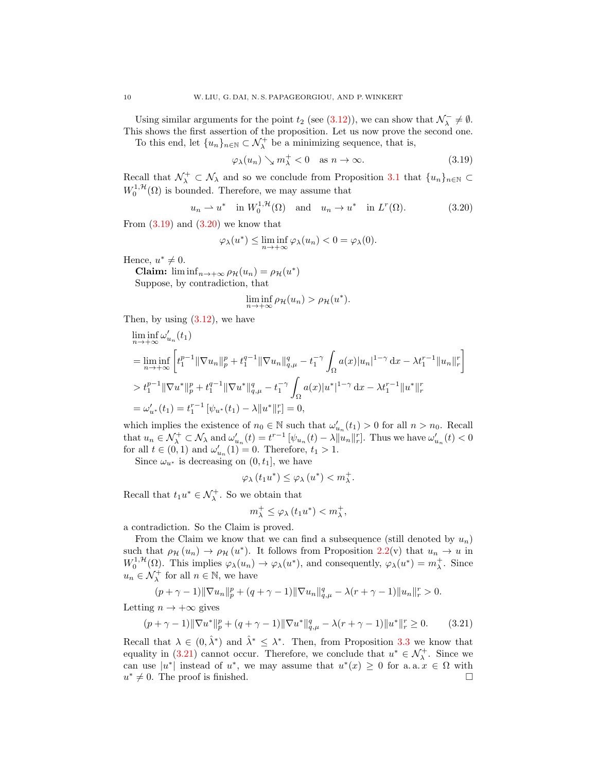Using similar arguments for the point  $t_2$  (see [\(3.12\)](#page-7-3)), we can show that  $\mathcal{N}_\lambda^- \neq \emptyset$ . This shows the first assertion of the proposition. Let us now prove the second one.

To this end, let  $\{u_n\}_{n\in\mathbb{N}}\subset \mathcal{N}^+_\lambda$  be a minimizing sequence, that is,

<span id="page-9-1"></span><span id="page-9-0"></span>
$$
\varphi_{\lambda}(u_n) \searrow m_{\lambda}^+ < 0 \quad \text{as } n \to \infty. \tag{3.19}
$$

Recall that  $\mathcal{N}^+_\lambda \subset \mathcal{N}_\lambda$  and so we conclude from Proposition [3.1](#page-4-1) that  $\{u_n\}_{n\in\mathbb{N}}\subset$  $W_0^{1, \mathcal{H}}(\Omega)$  is bounded. Therefore, we may assume that

$$
u_n \rightharpoonup u^*
$$
 in  $W_0^{1,\mathcal{H}}(\Omega)$  and  $u_n \rightharpoonup u^*$  in  $L^r(\Omega)$ . (3.20)

From  $(3.19)$  and  $(3.20)$  we know that

$$
\varphi_{\lambda}(u^*) \leq \liminf_{n \to +\infty} \varphi_{\lambda}(u_n) < 0 = \varphi_{\lambda}(0).
$$

Hence,  $u^* \neq 0$ .

Claim:  $\liminf_{n\to+\infty} \rho_{\mathcal{H}}(u_n) = \rho_{\mathcal{H}}(u^*)$ Suppose, by contradiction, that

$$
\liminf_{n \to +\infty} \rho_{\mathcal{H}}(u_n) > \rho_{\mathcal{H}}(u^*).
$$

Then, by using  $(3.12)$ , we have

$$
\liminf_{n \to +\infty} \omega'_{u_n}(t_1)
$$
\n
$$
= \liminf_{n \to +\infty} \left[ t_1^{p-1} \|\nabla u_n\|_p^p + t_1^{q-1} \|\nabla u_n\|_{q,\mu}^q - t_1^{-\gamma} \int_{\Omega} a(x)|u_n|^{1-\gamma} dx - \lambda t_1^{r-1} \|u_n\|_r^r \right]
$$
\n
$$
> t_1^{p-1} \|\nabla u^*\|_p^p + t_1^{q-1} \|\nabla u^*\|_{q,\mu}^q - t_1^{-\gamma} \int_{\Omega} a(x)|u^*|^{1-\gamma} dx - \lambda t_1^{r-1} \|u^*\|_r^r
$$
\n
$$
= \omega'_{u^*}(t_1) = t_1^{r-1} \left[ \psi_{u^*}(t_1) - \lambda \|u^*\|_r^r \right] = 0,
$$

which implies the existence of  $n_0 \in \mathbb{N}$  such that  $\omega'_{u_n}(t_1) > 0$  for all  $n > n_0$ . Recall that  $u_n \in \mathcal{N}_{\lambda}^+ \subset \mathcal{N}_{\lambda}$  and  $\omega'_{u_n}(t) = t^{r-1} \left[ \psi_{u_n}(t) - \lambda \|\mathring{u}_n\|_r^r \right]$ . Thus we have  $\omega'_{u_n}(t) < 0$ for all  $t \in (0,1)$  and  $\omega'_{u_n}(1) = 0$ . Therefore,  $t_1 > 1$ .

Since  $\omega_{u^*}$  is decreasing on  $(0, t_1]$ , we have

$$
\varphi_{\lambda}(t_1u^*) \leq \varphi_{\lambda}(u^*) < m_{\lambda}^+.
$$

Recall that  $t_1u^* \in \mathcal{N}^+_{\lambda}$ . So we obtain that

$$
m_{\lambda}^{+}\leq \varphi _{\lambda}\left( t_{1}u^{*}\right)
$$

a contradiction. So the Claim is proved.

From the Claim we know that we can find a subsequence (still denoted by  $u_n$ ) such that  $\rho_{\mathcal{H}}(u_n) \to \rho_{\mathcal{H}}(u^*)$ . It follows from Proposition [2.2\(](#page-3-1)v) that  $u_n \to u$  in  $W_0^{1,\mathcal{H}}(\Omega)$ . This implies  $\varphi_\lambda(u_n) \to \varphi_\lambda(u^*)$ , and consequently,  $\varphi_\lambda(u^*) = m_\lambda^+$ . Since  $u_n \in \mathcal{N}^+_{\lambda}$  for all  $n \in \mathbb{N}$ , we have

$$
(p+\gamma-1)\|\nabla u_n\|_p^p + (q+\gamma-1)\|\nabla u_n\|_{q,\mu}^q - \lambda(r+\gamma-1)\|u_n\|_r^r > 0.
$$

Letting  $n \to +\infty$  gives

<span id="page-9-2"></span>
$$
(p + \gamma - 1) \|\nabla u^*\|_p^p + (q + \gamma - 1) \|\nabla u^*\|_{q,\mu}^q - \lambda (r + \gamma - 1) \|u^*\|_r^r \ge 0. \tag{3.21}
$$

Recall that  $\lambda \in (0, \hat{\lambda}^*)$  and  $\hat{\lambda}^* \leq \lambda^*$ . Then, from Proposition [3.3](#page-5-5) we know that equality in [\(3.21\)](#page-9-2) cannot occur. Therefore, we conclude that  $u^* \in \mathcal{N}_{\lambda}^+$ . Since we can use  $|u^*|$  instead of  $u^*$ , we may assume that  $u^*(x) \geq 0$  for a.a.  $x \in \Omega$  with  $u^* \neq 0$ . The proof is finished.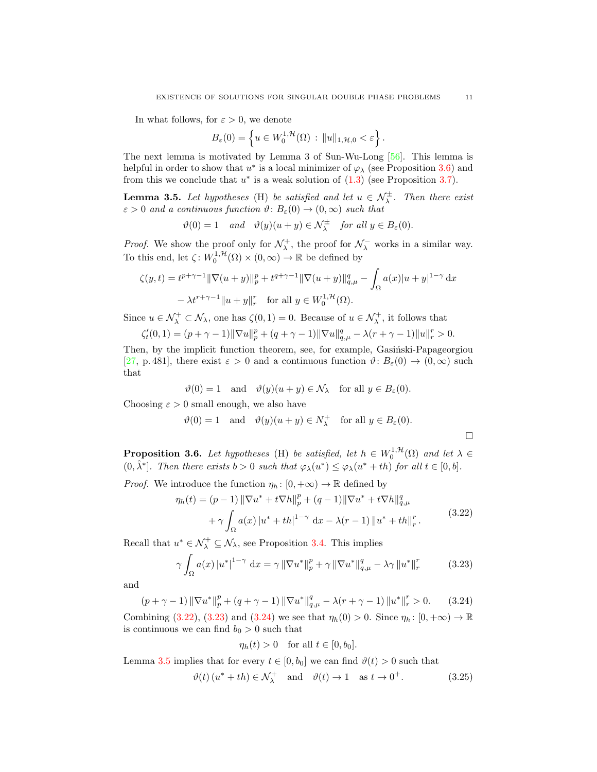In what follows, for  $\varepsilon > 0$ , we denote

$$
B_{\varepsilon}(0) = \left\{ u \in W_0^{1,\mathcal{H}}(\Omega) : ||u||_{1,\mathcal{H},0} < \varepsilon \right\}.
$$

The next lemma is motivated by Lemma 3 of Sun-Wu-Long [\[56\]](#page-18-22). This lemma is helpful in order to show that  $u^*$  is a local minimizer of  $\varphi_\lambda$  (see Proposition [3.6\)](#page-10-0) and from this we conclude that  $u^*$  is a weak solution of  $(1.3)$  (see Proposition [3.7\)](#page-11-0).

<span id="page-10-4"></span>**Lemma 3.5.** Let hypotheses (H) be satisfied and let  $u \in \mathcal{N}_{\lambda}^{\pm}$ . Then there exist  $\varepsilon > 0$  and a continuous function  $\vartheta : B_{\varepsilon}(0) \to (0, \infty)$  such that

$$
\vartheta(0) = 1 \quad \text{and} \quad \vartheta(y)(u+y) \in \mathcal{N}_{\lambda}^{\pm} \quad \text{for all } y \in B_{\varepsilon}(0).
$$

*Proof.* We show the proof only for  $\mathcal{N}_{\lambda}^{+}$ , the proof for  $\mathcal{N}_{\lambda}^{-}$  works in a similar way. To this end, let  $\zeta: W_0^{1,\mathcal{H}}(\Omega) \times (0,\infty) \to \mathbb{R}$  be defined by

$$
\zeta(y,t) = t^{p+\gamma-1} \|\nabla(u+y)\|_{p}^{p} + t^{q+\gamma-1} \|\nabla(u+y)\|_{q,\mu}^{q} - \int_{\Omega} a(x)|u+y|^{1-\gamma} dx
$$

$$
- \lambda t^{r+\gamma-1} \|u+y\|_{r}^{r} \quad \text{for all } y \in W_{0}^{1,\mathcal{H}}(\Omega).
$$

Since  $u \in \mathcal{N}_{\lambda}^+ \subset \mathcal{N}_{\lambda}$ , one has  $\zeta(0,1) = 0$ . Because of  $u \in \mathcal{N}_{\lambda}^+$ , it follows that

$$
\zeta'_t(0,1)=(p+\gamma-1)\|\nabla u\|_p^p+(q+\gamma-1)\|\nabla u\|_{q,\mu}^q-\lambda(r+\gamma-1)\|u\|_r^r>0.
$$

Then, by the implicit function theorem, see, for example, Gasinski-Papageorgiou [\[27,](#page-17-27) p. 481], there exist  $\varepsilon > 0$  and a continuous function  $\vartheta: B_{\varepsilon}(0) \to (0, \infty)$  such that

$$
\vartheta(0) = 1
$$
 and  $\vartheta(y)(u + y) \in \mathcal{N}_{\lambda}$  for all  $y \in B_{\varepsilon}(0)$ .

Choosing  $\varepsilon > 0$  small enough, we also have

$$
\vartheta(0) = 1
$$
 and  $\vartheta(y)(u + y) \in N_{\lambda}^{+}$  for all  $y \in B_{\varepsilon}(0)$ .

<span id="page-10-0"></span>**Proposition 3.6.** Let hypotheses (H) be satisfied, let  $h \in W_0^{1, H}(\Omega)$  and let  $\lambda \in$  $(0, \hat{\lambda}^*)$ . Then there exists  $b > 0$  such that  $\varphi_{\lambda}(u^*) \leq \varphi_{\lambda}(u^* + th)$  for all  $t \in [0, b]$ .

*Proof.* We introduce the function  $\eta_h: [0, +\infty) \to \mathbb{R}$  defined by

$$
\eta_h(t) = (p-1) \|\nabla u^* + t \nabla h\|_p^p + (q-1) \|\nabla u^* + t \nabla h\|_{q,\mu}^q \n+ \gamma \int_{\Omega} a(x) |u^* + th|^{1-\gamma} dx - \lambda(r-1) \|u^* + th\|_r^r.
$$
\n(3.22)

Recall that  $u^* \in \mathcal{N}^+_{\lambda} \subseteq \mathcal{N}_{\lambda}$ , see Proposition [3.4.](#page-6-2) This implies

$$
\gamma \int_{\Omega} a(x) |u^*|^{1-\gamma} dx = \gamma ||\nabla u^*||_p^p + \gamma ||\nabla u^*||_{q,\mu}^q - \lambda \gamma ||u^*||_r^r \qquad (3.23)
$$

and

$$
(p + \gamma - 1) \|\nabla u^*\|_p^p + (q + \gamma - 1) \|\nabla u^*\|_{q,\mu}^q - \lambda (r + \gamma - 1) \|u^*\|_r^r > 0. \tag{3.24}
$$

Combining [\(3.22\)](#page-10-1), [\(3.23\)](#page-10-2) and [\(3.24\)](#page-10-3) we see that  $\eta_h(0) > 0$ . Since  $\eta_h: [0, +\infty) \to \mathbb{R}$ is continuous we can find  $b_0 > 0$  such that

<span id="page-10-5"></span><span id="page-10-3"></span><span id="page-10-2"></span><span id="page-10-1"></span>
$$
\eta_h(t) > 0 \quad \text{for all } t \in [0, b_0].
$$

Lemma [3.5](#page-10-4) implies that for every  $t \in [0, b_0]$  we can find  $\vartheta(t) > 0$  such that

$$
\vartheta(t) (u^* + th) \in \mathcal{N}_{\lambda}^+
$$
 and  $\vartheta(t) \to 1$  as  $t \to 0^+$ . (3.25)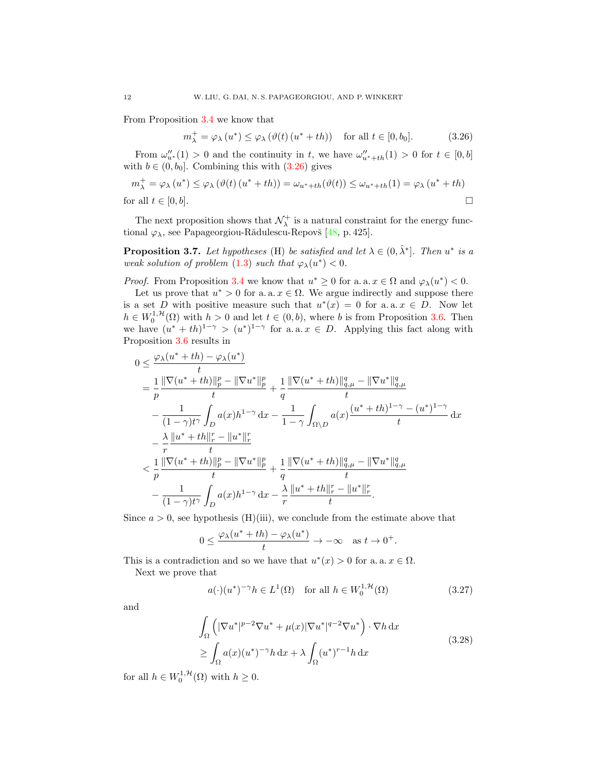From Proposition [3.4](#page-6-2) we know that

<span id="page-11-1"></span>
$$
m_{\lambda}^{+} = \varphi_{\lambda}(u^{*}) \le \varphi_{\lambda}(\vartheta(t)(u^{*} + th)) \quad \text{for all } t \in [0, b_{0}].
$$
 (3.26)

From  $\omega''_{u^*}(1) > 0$  and the continuity in t, we have  $\omega''_{u^*+th}(1) > 0$  for  $t \in [0,b]$ with  $b \in (0, b_0]$ . Combining this with  $(3.26)$  gives

$$
m_{\lambda}^{+} = \varphi_{\lambda}(u^{*}) \leq \varphi_{\lambda}(\vartheta(t)(u^{*} + th)) = \omega_{u^{*} + th}(\vartheta(t)) \leq \omega_{u^{*} + th}(1) = \varphi_{\lambda}(u^{*} + th)
$$
  
for all  $t \in [0, b]$ .

The next proposition shows that  $\mathcal{N}_{\lambda}^{+}$  is a natural constraint for the energy functional  $\varphi_{\lambda}$ , see Papageorgiou-Rădulescu-Repovš [\[48,](#page-18-26) p. 425].

<span id="page-11-0"></span>**Proposition 3.7.** Let hypotheses (H) be satisfied and let  $\lambda \in (0, \hat{\lambda}^*]$ . Then  $u^*$  is a weak solution of problem [\(1.3\)](#page-1-1) such that  $\varphi_{\lambda}(u^*) < 0$ .

*Proof.* From Proposition [3.4](#page-6-2) we know that  $u^* \geq 0$  for a. a.  $x \in \Omega$  and  $\varphi_{\lambda}(u^*) < 0$ .

Let us prove that  $u^* > 0$  for a. a.  $x \in \Omega$ . We argue indirectly and suppose there is a set D with positive measure such that  $u^*(x) = 0$  for a.a.  $x \in D$ . Now let  $h \in W_0^{1,\mathcal{H}}(\Omega)$  with  $h > 0$  and let  $t \in (0,b)$ , where b is from Proposition [3.6.](#page-10-0) Then we have  $(u^* + th)^{1-\gamma} > (u^*)^{1-\gamma}$  for a. a.  $x \in D$ . Applying this fact along with Proposition [3.6](#page-10-0) results in

$$
0 \leq \frac{\varphi_{\lambda}(u^{*}+th)-\varphi_{\lambda}(u^{*})}{t} = \frac{1}{p} \frac{\|\nabla(u^{*}+th)\|_{p}^{p}-\|\nabla u^{*}\|_{p}^{p}}{t} + \frac{1}{q} \frac{\|\nabla(u^{*}+th)\|_{q,\mu}^{q}-\|\nabla u^{*}\|_{q,\mu}^{q}}{t} - \frac{1}{(1-\gamma)t^{\gamma}} \int_{D} a(x)h^{1-\gamma} dx - \frac{1}{1-\gamma} \int_{\Omega\backslash D} a(x) \frac{(u^{*}+th)^{1-\gamma}-(u^{*})^{1-\gamma}}{t} dx - \frac{\lambda}{r} \frac{\|u^{*}+th\|_{r}^{r}-\|u^{*}\|_{r}^{r}}{t} < \frac{1}{p} \frac{\|\nabla(u^{*}+th)\|_{p}^{p}-\|\nabla u^{*}\|_{p}^{p}}{t} + \frac{1}{q} \frac{\|\nabla(u^{*}+th)\|_{q,\mu}^{q}-\|\nabla u^{*}\|_{q,\mu}^{q}}{t} - \frac{1}{(1-\gamma)t^{\gamma}} \int_{D} a(x)h^{1-\gamma} dx - \frac{\lambda}{r} \frac{\|u^{*}+th\|_{r}^{r}-\|u^{*}\|_{r}^{r}}{t}.
$$

Since  $a > 0$ , see hypothesis (H)(iii), we conclude from the estimate above that

$$
0 \le \frac{\varphi_\lambda(u^* + t h) - \varphi_\lambda(u^*)}{t} \to -\infty \quad \text{as } t \to 0^+.
$$

This is a contradiction and so we have that  $u^*(x) > 0$  for a. a.  $x \in \Omega$ . Next we prove that

<span id="page-11-3"></span><span id="page-11-2"></span>
$$
a(\cdot)(u^*)^{-\gamma}h \in L^1(\Omega) \quad \text{for all } h \in W_0^{1,\mathcal{H}}(\Omega)
$$
 (3.27)

and

$$
\int_{\Omega} \left( |\nabla u^*|^{p-2} \nabla u^* + \mu(x) |\nabla u^*|^{q-2} \nabla u^* \right) \cdot \nabla h \, dx
$$
\n
$$
\geq \int_{\Omega} a(x) (u^*)^{-\gamma} h \, dx + \lambda \int_{\Omega} (u^*)^{r-1} h \, dx \tag{3.28}
$$

for all  $h \in W_0^{1, H}(\Omega)$  with  $h \geq 0$ .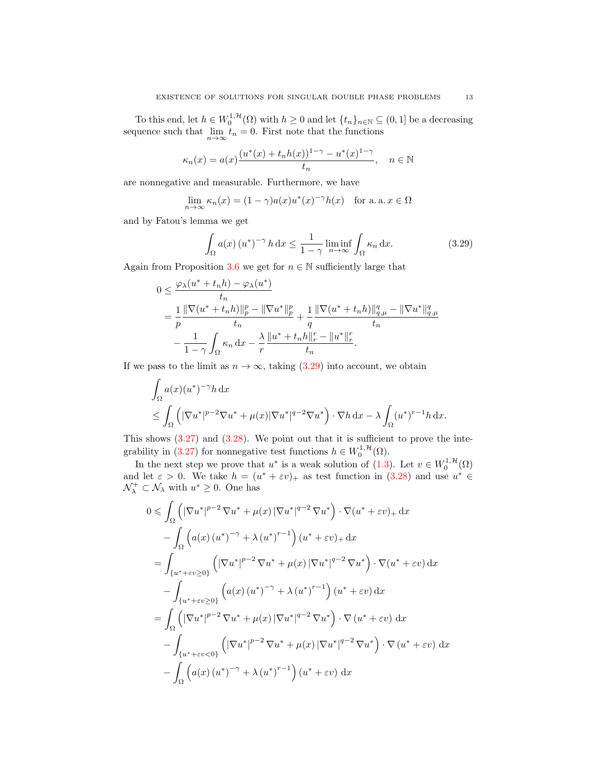To this end, let  $h \in W_0^{1,\mathcal{H}}(\Omega)$  with  $h \geq 0$  and let  $\{t_n\}_{n \in \mathbb{N}} \subseteq (0,1]$  be a decreasing sequence such that  $\lim_{n \to \infty} t_n = 0$ . First note that the functions

$$
\kappa_n(x)=a(x)\frac{(u^*(x)+t_nh(x))^{1-\gamma}-u^*(x)^{1-\gamma}}{t_n},\quad n\in\mathbb{N}
$$

are nonnegative and measurable. Furthermore, we have

$$
\lim_{n \to \infty} \kappa_n(x) = (1 - \gamma) a(x) u^*(x)^{-\gamma} h(x) \quad \text{for a. a. } x \in \Omega
$$

and by Fatou's lemma we get

<span id="page-12-0"></span>
$$
\int_{\Omega} a(x) (u^*)^{-\gamma} h \, dx \le \frac{1}{1 - \gamma} \liminf_{n \to \infty} \int_{\Omega} \kappa_n \, dx. \tag{3.29}
$$

Again from Proposition [3.6](#page-10-0) we get for  $n \in \mathbb{N}$  sufficiently large that

$$
0 \leq \frac{\varphi_{\lambda}(u^* + t_n h) - \varphi_{\lambda}(u^*)}{t_n}
$$
  
= 
$$
\frac{1}{p} \frac{\|\nabla(u^* + t_n h)\|_{p}^{p} - \|\nabla u^*\|_{p}^{p}}{t_n} + \frac{1}{q} \frac{\|\nabla(u^* + t_n h)\|_{q,\mu}^{q} - \|\nabla u^*\|_{q,\mu}^{q}}{t_n}
$$
  

$$
- \frac{1}{1 - \gamma} \int_{\Omega} \kappa_n dx - \frac{\lambda}{r} \frac{\|u^* + t_n h\|_{r}^{r} - \|u^*\|_{r}^{r}}{t_n}.
$$

If we pass to the limit as  $n \to \infty$ , taking [\(3.29\)](#page-12-0) into account, we obtain

$$
\int_{\Omega} a(x)(u^*)^{-\gamma} h \, dx
$$
\n
$$
\leq \int_{\Omega} \left( |\nabla u^*|^{p-2} \nabla u^* + \mu(x) |\nabla u^*|^{q-2} \nabla u^* \right) \cdot \nabla h \, dx - \lambda \int_{\Omega} (u^*)^{r-1} h \, dx.
$$

This shows  $(3.27)$  and  $(3.28)$ . We point out that it is sufficient to prove the inte-grability in [\(3.27\)](#page-11-2) for nonnegative test functions  $h \in W_0^{1, \mathcal{H}}(\Omega)$ .

In the next step we prove that  $u^*$  is a weak solution of  $(1.3)$ . Let  $v \in W_0^{1, \mathcal{H}}(\Omega)$ and let  $\varepsilon > 0$ . We take  $h = (u^* + \varepsilon v)_+$  as test function in  $(3.28)$  and use  $u^* \in$  $\mathcal{N}_{\lambda}^+ \subset \mathcal{N}_{\lambda}$  with  $u^* \geq 0$ . One has

$$
0 \leqslant \int_{\Omega} \left( |\nabla u^*|^{p-2} \nabla u^* + \mu(x) |\nabla u^*|^{q-2} \nabla u^* \right) \cdot \nabla (u^* + \varepsilon v)_+ \, dx
$$
  
\n
$$
- \int_{\Omega} \left( a(x) \left( u^* \right)^{-\gamma} + \lambda \left( u^* \right)^{r-1} \right) \left( u^* + \varepsilon v \right)_+ \, dx
$$
  
\n
$$
= \int_{\{u^* + \varepsilon v \geq 0\}} \left( |\nabla u^*|^{p-2} \nabla u^* + \mu(x) |\nabla u^*|^{q-2} \nabla u^* \right) \cdot \nabla (u^* + \varepsilon v) \, dx
$$
  
\n
$$
- \int_{\{u^* + \varepsilon v \geq 0\}} \left( a(x) \left( u^* \right)^{-\gamma} + \lambda \left( u^* \right)^{r-1} \right) \left( u^* + \varepsilon v \right) \, dx
$$
  
\n
$$
= \int_{\Omega} \left( |\nabla u^*|^{p-2} \nabla u^* + \mu(x) |\nabla u^*|^{q-2} \nabla u^* \right) \cdot \nabla (u^* + \varepsilon v) \, dx
$$
  
\n
$$
- \int_{\{u^* + \varepsilon v < 0\}} \left( |\nabla u^*|^{p-2} \nabla u^* + \mu(x) |\nabla u^*|^{q-2} \nabla u^* \right) \cdot \nabla (u^* + \varepsilon v) \, dx
$$
  
\n
$$
- \int_{\Omega} \left( a(x) \left( u^* \right)^{-\gamma} + \lambda \left( u^* \right)^{r-1} \right) \left( u^* + \varepsilon v \right) \, dx
$$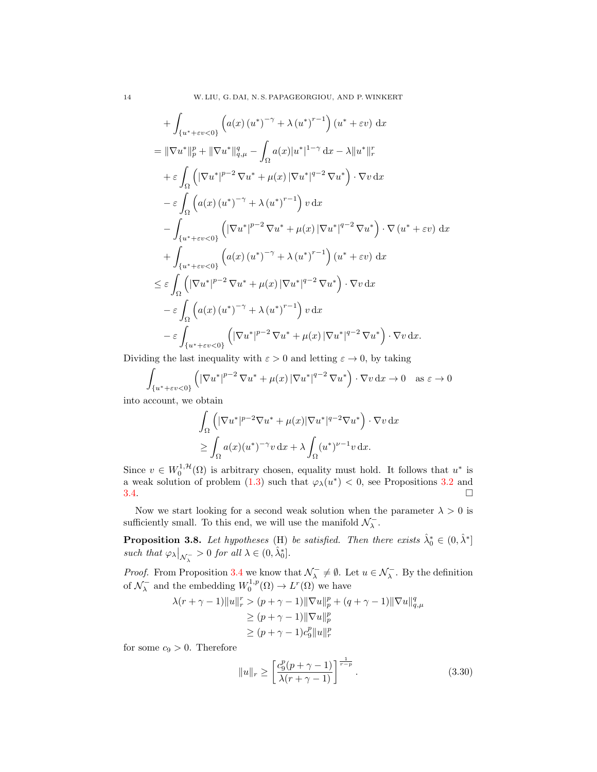$$
+\int_{\{u^*+\varepsilon v<0\}} \left( a(x) (u^*)^{-\gamma} + \lambda (u^*)^{r-1} \right) (u^*+\varepsilon v) dx
$$
  
\n
$$
= \|\nabla u^*\|_p^p + \|\nabla u^*\|_{q,\mu}^q - \int_{\Omega} a(x) |u^*|^{1-\gamma} dx - \lambda \|u^*\|_r^r
$$
  
\n
$$
+ \varepsilon \int_{\Omega} \left( |\nabla u^*|^{p-2} \nabla u^* + \mu(x) |\nabla u^*|^{q-2} \nabla u^* \right) \cdot \nabla v dx
$$
  
\n
$$
- \varepsilon \int_{\Omega} \left( a(x) (u^*)^{-\gamma} + \lambda (u^*)^{r-1} \right) v dx
$$
  
\n
$$
- \int_{\{u^*+\varepsilon v<0\}} \left( |\nabla u^*|^{p-2} \nabla u^* + \mu(x) |\nabla u^*|^{q-2} \nabla u^* \right) \cdot \nabla (u^*+\varepsilon v) dx
$$
  
\n
$$
+ \int_{\{u^*+\varepsilon v<0\}} \left( a(x) (u^*)^{-\gamma} + \lambda (u^*)^{r-1} \right) (u^*+\varepsilon v) dx
$$
  
\n
$$
\leq \varepsilon \int_{\Omega} \left( |\nabla u^*|^{p-2} \nabla u^* + \mu(x) |\nabla u^*|^{q-2} \nabla u^* \right) \cdot \nabla v dx
$$
  
\n
$$
- \varepsilon \int_{\Omega} \left( a(x) (u^*)^{-\gamma} + \lambda (u^*)^{r-1} \right) v dx
$$
  
\n
$$
- \varepsilon \int_{\{u^*+\varepsilon v<0\}} \left( |\nabla u^*|^{p-2} \nabla u^* + \mu(x) |\nabla u^*|^{q-2} \nabla u^* \right) \cdot \nabla v dx.
$$

Dividing the last inequality with  $\varepsilon > 0$  and letting  $\varepsilon \to 0$ , by taking

$$
\int_{\{u^* + \varepsilon v < 0\}} \left( \left| \nabla u^* \right|^{p-2} \nabla u^* + \mu(x) \left| \nabla u^* \right|^{q-2} \nabla u^* \right) \cdot \nabla v \, \mathrm{d}x \to 0 \quad \text{as } \varepsilon \to 0
$$

into account, we obtain

$$
\int_{\Omega} \left( |\nabla u^*|^{p-2} \nabla u^* + \mu(x) |\nabla u^*|^{q-2} \nabla u^* \right) \cdot \nabla v \, dx
$$
  
\n
$$
\geq \int_{\Omega} a(x) (u^*)^{-\gamma} v \, dx + \lambda \int_{\Omega} (u^*)^{\nu-1} v \, dx.
$$

Since  $v \in W_0^{1,\mathcal{H}}(\Omega)$  is arbitrary chosen, equality must hold. It follows that  $u^*$  is a weak solution of problem [\(1.3\)](#page-1-1) such that  $\varphi_{\lambda}(u^*) < 0$ , see Propositions [3.2](#page-5-6) and  $3.4.$ 

Now we start looking for a second weak solution when the parameter  $\lambda > 0$  is sufficiently small. To this end, we will use the manifold  $\mathcal{N}_{\lambda}^-$ .

<span id="page-13-1"></span>**Proposition 3.8.** Let hypotheses (H) be satisfied. Then there exists  $\hat{\lambda}_0^* \in (0, \hat{\lambda}^*]$ such that  $\varphi_{\lambda}|_{\mathcal{N}_{\lambda}^{-}}>0$  for all  $\lambda \in (0, \hat{\lambda}_{0}^{*}]$ .

*Proof.* From Proposition [3.4](#page-6-2) we know that  $\mathcal{N}_{\lambda}^{-} \neq \emptyset$ . Let  $u \in \mathcal{N}_{\lambda}^{-}$ . By the definition of  $\mathcal{N}_{\lambda}^-$  and the embedding  $W_0^{1,p}(\Omega) \to L^r(\Omega)$  we have

$$
\lambda(r+\gamma-1) \|u\|_{r}^{r} > (p+\gamma-1) \|\nabla u\|_{p}^{p} + (q+\gamma-1) \|\nabla u\|_{q,\mu}^{q}
$$
  
\n
$$
\geq (p+\gamma-1) \|\nabla u\|_{p}^{p}
$$
  
\n
$$
\geq (p+\gamma-1)c_{9}^{p} \|u\|_{r}^{p}
$$

for some  $c_9 > 0$ . Therefore

<span id="page-13-0"></span>
$$
||u||_r \ge \left[\frac{c_9^p(p+\gamma-1)}{\lambda(r+\gamma-1)}\right]^{\frac{1}{r-p}}.\tag{3.30}
$$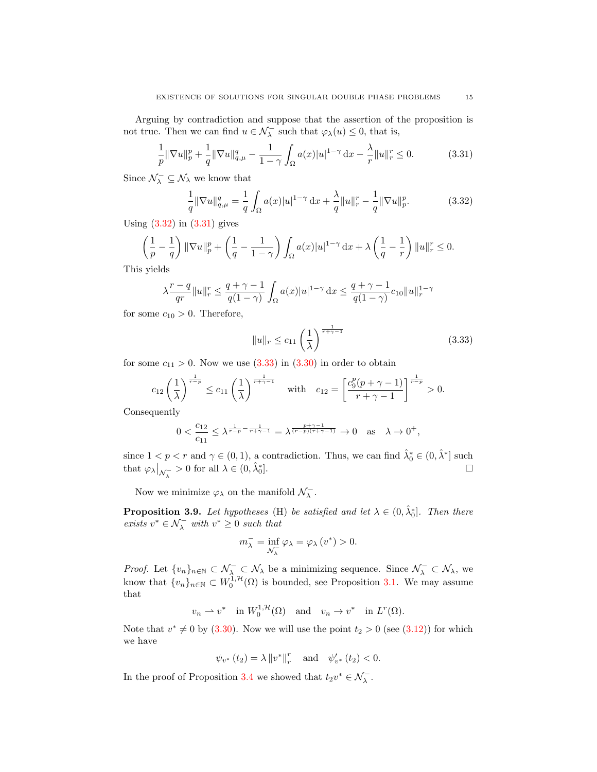Arguing by contradiction and suppose that the assertion of the proposition is not true. Then we can find  $u \in \mathcal{N}_{\lambda}^-$  such that  $\varphi_{\lambda}(u) \leq 0$ , that is,

<span id="page-14-1"></span>
$$
\frac{1}{p} \|\nabla u\|_{p}^{p} + \frac{1}{q} \|\nabla u\|_{q,\mu}^{q} - \frac{1}{1-\gamma} \int_{\Omega} a(x)|u|^{1-\gamma} \, \mathrm{d}x - \frac{\lambda}{r} \|u\|_{r}^{r} \le 0. \tag{3.31}
$$

Since  $\mathcal{N}_{\lambda}^{-} \subseteq \mathcal{N}_{\lambda}$  we know that

<span id="page-14-0"></span>
$$
\frac{1}{q} \|\nabla u\|_{q,\mu}^q = \frac{1}{q} \int_{\Omega} a(x)|u|^{1-\gamma} \, \mathrm{d}x + \frac{\lambda}{q} \|u\|_{r}^r - \frac{1}{q} \|\nabla u\|_{p}^p. \tag{3.32}
$$

Using  $(3.32)$  in  $(3.31)$  gives

$$
\left(\frac{1}{p}-\frac{1}{q}\right)\|\nabla u\|_p^p+\left(\frac{1}{q}-\frac{1}{1-\gamma}\right)\int_{\Omega}a(x)|u|^{1-\gamma}\,\mathrm{d} x+\lambda\left(\frac{1}{q}-\frac{1}{r}\right)\|u\|_r^r\leq 0.
$$

This yields

$$
\lambda \frac{r-q}{qr} ||u||_r^r \le \frac{q+\gamma-1}{q(1-\gamma)} \int_{\Omega} a(x) |u|^{1-\gamma} dx \le \frac{q+\gamma-1}{q(1-\gamma)} c_{10} ||u||_r^{1-\gamma}
$$

for some  $c_{10} > 0$ . Therefore,

<span id="page-14-2"></span>
$$
||u||_{r} \leq c_{11} \left(\frac{1}{\lambda}\right)^{\frac{1}{r+\gamma-1}}
$$
\n(3.33)

for some  $c_{11} > 0$ . Now we use  $(3.33)$  in  $(3.30)$  in order to obtain

$$
c_{12}\left(\frac{1}{\lambda}\right)^{\frac{1}{r-p}} \le c_{11}\left(\frac{1}{\lambda}\right)^{\frac{1}{r+\gamma-1}} \quad \text{with} \quad c_{12} = \left[\frac{c_9^p(p+\gamma-1)}{r+\gamma-1}\right]^{\frac{1}{r-p}} > 0.
$$

Consequently

$$
0 < \frac{c_{12}}{c_{11}} \le \lambda^{\frac{1}{r-p} - \frac{1}{r+\gamma-1}} = \lambda^{\frac{p+\gamma-1}{(r-p)(r+\gamma-1)}} \to 0 \quad \text{as} \quad \lambda \to 0^+,
$$

since  $1 < p < r$  and  $\gamma \in (0, 1)$ , a contradiction. Thus, we can find  $\hat{\lambda}_0^* \in (0, \hat{\lambda}^*]$  such that  $\varphi_{\lambda}\big|_{\mathcal{N}_{\lambda}^-} > 0$  for all  $\lambda \in (0, \hat{\lambda}_0^*$ ].

Now we minimize  $\varphi_{\lambda}$  on the manifold  $\mathcal{N}_{\lambda}^{-}$ .

<span id="page-14-3"></span>**Proposition 3.9.** Let hypotheses (H) be satisfied and let  $\lambda \in (0, \hat{\lambda}_0^*]$ . Then there exists  $v^* \in \mathcal{N}_{\lambda}^-$  with  $v^* \geq 0$  such that

$$
m_{\lambda}^{-} = \inf_{\mathcal{N}_{\lambda}^{-}} \varphi_{\lambda} = \varphi_{\lambda} (v^{*}) > 0.
$$

*Proof.* Let  $\{v_n\}_{n\in\mathbb{N}}\subset\mathcal{N}_{\lambda}\subset\mathcal{N}_{\lambda}$  be a minimizing sequence. Since  $\mathcal{N}_{\lambda}\subset\mathcal{N}_{\lambda}$ , we know that  $\{v_n\}_{n\in\mathbb{N}}\subset W_0^{1,\mathcal{H}}(\Omega)$  is bounded, see Proposition [3.1.](#page-4-1) We may assume that

$$
v_n \rightharpoonup v^*
$$
 in  $W_0^{1,\mathcal{H}}(\Omega)$  and  $v_n \rightharpoonup v^*$  in  $L^r(\Omega)$ .

Note that  $v^* \neq 0$  by [\(3.30\)](#page-13-0). Now we will use the point  $t_2 > 0$  (see [\(3.12\)](#page-7-3)) for which we have

$$
\psi_{v^*}(t_2) = \lambda \|v^*\|_r^r
$$
 and  $\psi'_{v^*}(t_2) < 0$ .

In the proof of Proposition [3.4](#page-6-2) we showed that  $t_2v^* \in \mathcal{N}_\lambda^-$ .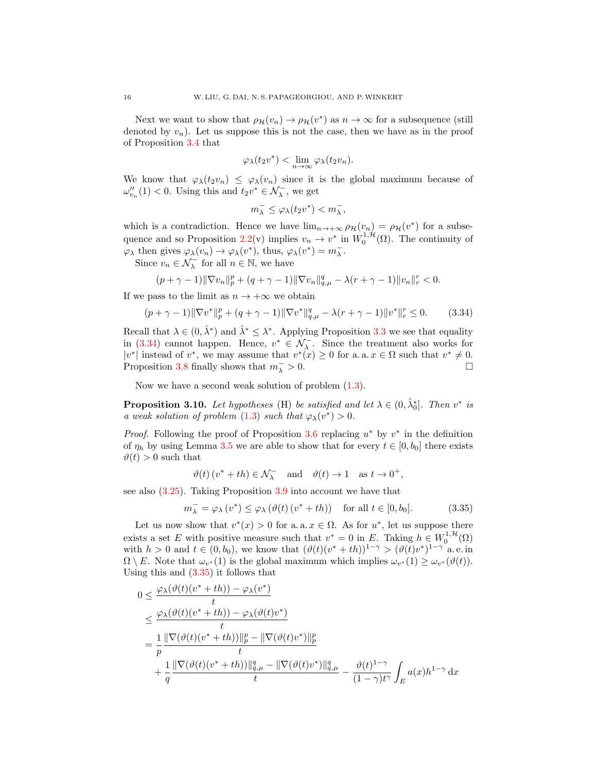Next we want to show that  $\rho_{\mathcal{H}}(v_n) \to \rho_{\mathcal{H}}(v^*)$  as  $n \to \infty$  for a subsequence (still denoted by  $v_n$ ). Let us suppose this is not the case, then we have as in the proof of Proposition [3.4](#page-6-2) that

$$
\varphi_{\lambda}(t_2v^*) < \lim_{n \to \infty} \varphi_{\lambda}(t_2v_n).
$$

We know that  $\varphi_{\lambda}(t_2v_n) \leq \varphi_{\lambda}(v_n)$  since it is the global maximum because of  $\omega_{v_n}''(1) < 0$ . Using this and  $t_2v^* \in \mathcal{N}_\lambda^-$ , we get

$$
m_\lambda^-\leq \varphi_\lambda(t_2v^*)
$$

which is a contradiction. Hence we have  $\lim_{n\to+\infty} \rho_{\mathcal{H}}(v_n) = \rho_{\mathcal{H}}(v^*)$  for a subse-quence and so Proposition [2.2\(](#page-3-1)v) implies  $v_n \to v^*$  in  $W_0^{1, H}(\Omega)$ . The continuity of  $\varphi_{\lambda}$  then gives  $\varphi_{\lambda}(v_n) \to \varphi_{\lambda}(v^*)$ , thus,  $\varphi_{\lambda}(v^*) = m_{\lambda}^-$ .

Since  $v_n \in \mathcal{N}_{\lambda}^-$  for all  $n \in \mathbb{N}$ , we have

$$
(p+\gamma-1) \|\nabla v_n\|_p^p + (q+\gamma-1) \|\nabla v_n\|_{q,\mu}^q - \lambda (r+\gamma-1) \|v_n\|_r^r < 0.
$$

If we pass to the limit as  $n \to +\infty$  we obtain

<span id="page-15-0"></span>
$$
(p + \gamma - 1) \|\nabla v^*\|_p^p + (q + \gamma - 1) \|\nabla v^*\|_{q,\mu}^q - \lambda(r + \gamma - 1) \|v^*\|_r^r \le 0. \tag{3.34}
$$

Recall that  $\lambda \in (0, \hat{\lambda}^*)$  and  $\hat{\lambda}^* \leq \lambda^*$ . Applying Proposition [3.3](#page-5-5) we see that equality in [\(3.34\)](#page-15-0) cannot happen. Hence,  $v^* \in \mathcal{N}_{\lambda}^-$ . Since the treatment also works for  $|v^*|$  instead of  $v^*$ , we may assume that  $v^*(x) \geq 0$  for a. a.  $x \in \Omega$  such that  $v^* \neq 0$ . Proposition [3.8](#page-13-1) finally shows that  $m_{\lambda}^- > 0$ .

Now we have a second weak solution of problem [\(1.3\)](#page-1-1).

<span id="page-15-2"></span>**Proposition 3.10.** Let hypotheses (H) be satisfied and let  $\lambda \in (0, \hat{\lambda}_0^*]$ . Then  $v^*$  is a weak solution of problem [\(1.3\)](#page-1-1) such that  $\varphi_{\lambda}(v^*) > 0$ .

*Proof.* Following the proof of Proposition [3.6](#page-10-0) replacing  $u^*$  by  $v^*$  in the definition of  $\eta_h$  by using Lemma [3.5](#page-10-4) we are able to show that for every  $t \in [0, b_0]$  there exists  $\vartheta(t) > 0$  such that

<span id="page-15-1"></span>
$$
\vartheta(t)\left(v^*+th\right)\in\mathcal{N}_\lambda^-\quad\text{and}\quad\vartheta(t)\to1\quad\text{as }t\to0^+,
$$

see also [\(3.25\)](#page-10-5). Taking Proposition [3.9](#page-14-3) into account we have that

$$
m_{\lambda}^{-} = \varphi_{\lambda}(v^{*}) \leq \varphi_{\lambda}(\vartheta(t)(v^{*} + th)) \quad \text{for all } t \in [0, b_{0}].
$$
 (3.35)

Let us now show that  $v^*(x) > 0$  for a. a.  $x \in \Omega$ . As for  $u^*$ , let us suppose there exists a set E with positive measure such that  $v^* = 0$  in E. Taking  $h \in W_0^{1, H}(\Omega)$ with  $h > 0$  and  $t \in (0, b_0)$ , we know that  $(\vartheta(t)(v^* + th))^{1-\gamma} > (\vartheta(t)v^*)^{1-\gamma}$  a.e. in  $\Omega \setminus E$ . Note that  $\omega_{v^*}(1)$  is the global maximum which implies  $\omega_{v^*}(1) \geq \omega_{v^*}(\vartheta(t)).$ Using this and  $(3.35)$  it follows that

$$
0 \leq \frac{\varphi_{\lambda}(\vartheta(t)(v^* + th)) - \varphi_{\lambda}(v^*)}{t}
$$
  
\n
$$
\leq \frac{\varphi_{\lambda}(\vartheta(t)(v^* + th)) - \varphi_{\lambda}(\vartheta(t)v^*)}{t}
$$
  
\n
$$
= \frac{1}{p} \frac{\|\nabla(\vartheta(t)(v^* + th))\|_p^p - \|\nabla(\vartheta(t)v^*)\|_p^p}{t}
$$
  
\n
$$
+ \frac{1}{q} \frac{\|\nabla(\vartheta(t)(v^* + th))\|_{q,\mu}^q - \|\nabla(\vartheta(t)v^*)\|_{q,\mu}^q}{t} - \frac{\vartheta(t)^{1-\gamma}}{(1-\gamma)t^{\gamma}} \int_E a(x)h^{1-\gamma} dx
$$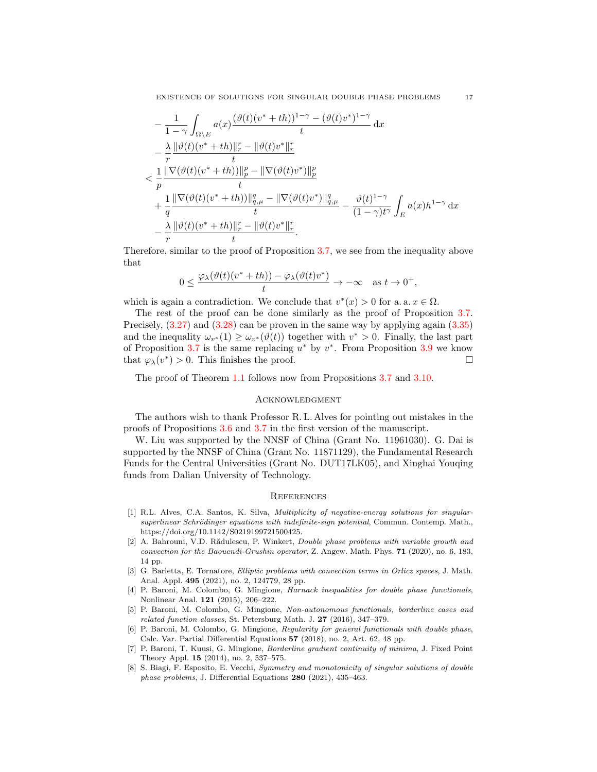$$
-\frac{1}{1-\gamma} \int_{\Omega \backslash E} a(x) \frac{(\vartheta(t)(v^*+th))^{1-\gamma} - (\vartheta(t)v^*)^{1-\gamma}}{t} dx
$$
  
\n
$$
-\frac{\lambda}{r} \frac{\|\vartheta(t)(v^*+th)\|_r^r - \|\vartheta(t)v^*\|_r^r}{t}
$$
  
\n
$$
< \frac{1}{p} \frac{\|\nabla(\vartheta(t)(v^*+th))\|_p^p - \|\nabla(\vartheta(t)v^*)\|_p^p}{t}
$$
  
\n
$$
+\frac{1}{q} \frac{\|\nabla(\vartheta(t)(v^*+th))\|_{q,\mu}^q - \|\nabla(\vartheta(t)v^*)\|_{q,\mu}^q}{t} - \frac{\vartheta(t)^{1-\gamma}}{(1-\gamma)t^{\gamma}} \int_E a(x)h^{1-\gamma} dx
$$
  
\n
$$
-\frac{\lambda}{r} \frac{\|\vartheta(t)(v^*+th)\|_r^r - \|\vartheta(t)v^*\|_r^r}{t}.
$$

Therefore, similar to the proof of Proposition [3.7,](#page-11-0) we see from the inequality above that

$$
0 \le \frac{\varphi_\lambda(\vartheta(t)(v^* + th)) - \varphi_\lambda(\vartheta(t)v^*)}{t} \to -\infty \quad \text{as } t \to 0^+,
$$

which is again a contradiction. We conclude that  $v^*(x) > 0$  for a. a.  $x \in \Omega$ .

The rest of the proof can be done similarly as the proof of Proposition [3.7.](#page-11-0) Precisely, [\(3.27\)](#page-11-2) and [\(3.28\)](#page-11-3) can be proven in the same way by applying again [\(3.35\)](#page-15-1) and the inequality  $\omega_{v^*}(1) \geq \omega_{v^*}(\vartheta(t))$  together with  $v^* > 0$ . Finally, the last part of Proposition [3.7](#page-11-0) is the same replacing  $u^*$  by  $v^*$ . From Proposition [3.9](#page-14-3) we know that  $\varphi_{\lambda}(v^*) > 0$ . This finishes the proof.

The proof of Theorem [1.1](#page-1-2) follows now from Propositions [3.7](#page-11-0) and [3.10.](#page-15-2)

#### **ACKNOWLEDGMENT**

The authors wish to thank Professor R. L. Alves for pointing out mistakes in the proofs of Propositions [3.6](#page-10-0) and [3.7](#page-11-0) in the first version of the manuscript.

W. Liu was supported by the NNSF of China (Grant No. 11961030). G. Dai is supported by the NNSF of China (Grant No. 11871129), the Fundamental Research Funds for the Central Universities (Grant No. DUT17LK05), and Xinghai Youqing funds from Dalian University of Technology.

#### **REFERENCES**

- <span id="page-16-4"></span>[1] R.L. Alves, C.A. Santos, K. Silva, Multiplicity of negative-energy solutions for singularsuperlinear Schrödinger equations with indefinite-sign potential, Commun. Contemp. Math., https://doi.org/10.1142/S0219199721500425.
- <span id="page-16-5"></span>[2] A. Bahrouni, V.D. Rădulescu, P. Winkert, *Double phase problems with variable growth and* convection for the Baouendi-Grushin operator, Z. Angew. Math. Phys. 71 (2020), no. 6, 183, 14 pp.
- <span id="page-16-6"></span>[3] G. Barletta, E. Tornatore, Elliptic problems with convection terms in Orlicz spaces, J. Math. Anal. Appl. 495 (2021), no. 2, 124779, 28 pp.
- <span id="page-16-0"></span>[4] P. Baroni, M. Colombo, G. Mingione, Harnack inequalities for double phase functionals, Nonlinear Anal. 121 (2015), 206–222.
- <span id="page-16-1"></span>[5] P. Baroni, M. Colombo, G. Mingione, Non-autonomous functionals, borderline cases and related function classes, St. Petersburg Math. J. 27 (2016), 347–379.
- <span id="page-16-2"></span>[6] P. Baroni, M. Colombo, G. Mingione, Regularity for general functionals with double phase, Calc. Var. Partial Differential Equations 57 (2018), no. 2, Art. 62, 48 pp.
- <span id="page-16-3"></span>[7] P. Baroni, T. Kuusi, G. Mingione, Borderline gradient continuity of minima, J. Fixed Point Theory Appl. 15 (2014), no. 2, 537–575.
- <span id="page-16-7"></span>[8] S. Biagi, F. Esposito, E. Vecchi, Symmetry and monotonicity of singular solutions of double phase problems, J. Differential Equations 280 (2021), 435–463.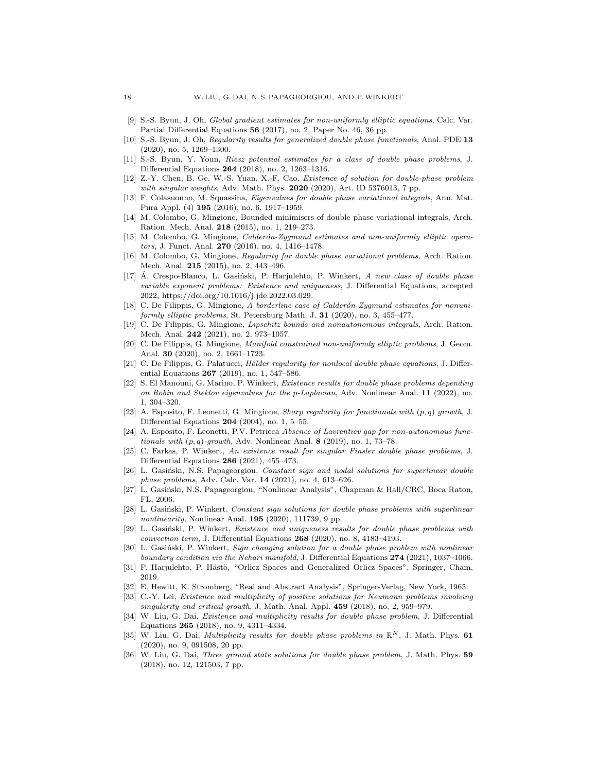- <span id="page-17-0"></span>[9] S.-S. Byun, J. Oh, Global gradient estimates for non-uniformly elliptic equations, Calc. Var. Partial Differential Equations 56 (2017), no. 2, Paper No. 46, 36 pp.
- <span id="page-17-1"></span>[10] S.-S. Byun, J. Oh, Regularity results for generalized double phase functionals, Anal. PDE 13 (2020), no. 5, 1269–1300.
- <span id="page-17-2"></span>[11] S.-S. Byun, Y. Youn, Riesz potential estimates for a class of double phase problems, J. Differential Equations 264 (2018), no. 2, 1263–1316.
- <span id="page-17-12"></span>[12] Z.-Y. Chen, B. Ge, W.-S. Yuan, X.-F. Cao, Existence of solution for double-phase problem with singular weights, Adv. Math. Phys. 2020 (2020), Art. ID 5376013, 7 pp.
- <span id="page-17-14"></span>[13] F. Colasuonno, M. Squassina, Eigenvalues for double phase variational integrals, Ann. Mat. Pura Appl. (4) 195 (2016), no. 6, 1917–1959.
- <span id="page-17-3"></span>[14] M. Colombo, G. Mingione, Bounded minimisers of double phase variational integrals, Arch. Ration. Mech. Anal. 218 (2015), no. 1, 219–273.
- <span id="page-17-4"></span>[15] M. Colombo, G. Mingione, *Calderón-Zygmund estimates and non-uniformly elliptic opera*tors, J. Funct. Anal. 270 (2016), no. 4, 1416-1478.
- <span id="page-17-5"></span>[16] M. Colombo, G. Mingione, Regularity for double phase variational problems, Arch. Ration. Mech. Anal. 215 (2015), no. 2, 443–496.
- <span id="page-17-25"></span> $[17]$  A. Crespo-Blanco, L. Gasiński, P. Harjulehto, P. Winkert, A new class of double phase variable exponent problems: Existence and uniqueness, J. Differential Equations, accepted 2022, https://doi.org/10.1016/j.jde.2022.03.029.
- <span id="page-17-6"></span>[18] C. De Filippis, G. Mingione, A borderline case of Calderón-Zygmund estimates for nonuniformly elliptic problems, St. Petersburg Math. J. 31 (2020), no. 3, 455–477.
- <span id="page-17-7"></span>[19] C. De Filippis, G. Mingione, Lipschitz bounds and nonautonomous integrals, Arch. Ration. Mech. Anal. 242 (2021), no. 2, 973–1057.
- <span id="page-17-8"></span>[20] C. De Filippis, G. Mingione, Manifold constrained non-uniformly elliptic problems, J. Geom. Anal. 30 (2020), no. 2, 1661–1723.
- <span id="page-17-9"></span>[21] C. De Filippis, G. Palatucci, Hölder regularity for nonlocal double phase equations, J. Differential Equations 267 (2019), no. 1, 547–586.
- <span id="page-17-15"></span>[22] S. El Manouni, G. Marino, P. Winkert, Existence results for double phase problems depending on Robin and Steklov eigenvalues for the p-Laplacian, Adv. Nonlinear Anal. 11 (2022), no. 1, 304–320.
- <span id="page-17-10"></span>[23] A. Esposito, F. Leonetti, G. Mingione, Sharp regularity for functionals with (p, q) growth, J. Differential Equations 204 (2004), no. 1, 5–55.
- <span id="page-17-11"></span>[24] A. Esposito, F. Leonetti, P.V. Petricca Absence of Lavrentiev gap for non-autonomous functionals with  $(p, q)$ -growth, Adv. Nonlinear Anal. 8 (2019), no. 1, 73–78.
- <span id="page-17-13"></span>[25] C. Farkas, P. Winkert, An existence result for singular Finsler double phase problems, J. Differential Equations 286 (2021), 455–473.
- <span id="page-17-16"></span>[26] L. Gasiński, N.S. Papageorgiou, Constant sign and nodal solutions for superlinear double phase problems, Adv. Calc. Var. 14 (2021), no. 4, 613–626.
- <span id="page-17-27"></span>[27] L. Gasiński, N.S. Papageorgiou, "Nonlinear Analysis", Chapman & Hall/CRC, Boca Raton, FL, 2006.
- <span id="page-17-17"></span>[28] L. Gasiński, P. Winkert, Constant sign solutions for double phase problems with superlinear nonlinearity, Nonlinear Anal.  $195$  (2020), 111739, 9 pp.
- <span id="page-17-18"></span>[29] L. Gasiński, P. Winkert, Existence and uniqueness results for double phase problems with convection term, J. Differential Equations 268 (2020), no. 8, 4183–4193.
- <span id="page-17-19"></span>[30] L. Gasiński, P. Winkert, Sign changing solution for a double phase problem with nonlinear boundary condition via the Nehari manifold, J. Differential Equations 274 (2021), 1037-1066.
- <span id="page-17-24"></span>[31] P. Harjulehto, P. Hästö, "Orlicz Spaces and Generalized Orlicz Spaces", Springer, Cham, 2019.
- <span id="page-17-26"></span>[32] E. Hewitt, K. Stromberg, "Real and Abstract Analysis", Springer-Verlag, New York, 1965.
- <span id="page-17-23"></span>[33] C.-Y. Lei, Existence and multiplicity of positive solutions for Neumann problems involving singularity and critical growth, J. Math. Anal. Appl.  $459$  (2018), no. 2, 959–979.
- <span id="page-17-20"></span>[34] W. Liu, G. Dai, Existence and multiplicity results for double phase problem, J. Differential Equations 265 (2018), no. 9, 4311–4334.
- <span id="page-17-21"></span>[35] W. Liu, G. Dai, *Multiplicity results for double phase problems in*  $\mathbb{R}^N$ , J. Math. Phys. 61 (2020), no. 9, 091508, 20 pp.
- <span id="page-17-22"></span>[36] W. Liu, G. Dai, Three ground state solutions for double phase problem, J. Math. Phys. 59 (2018), no. 12, 121503, 7 pp.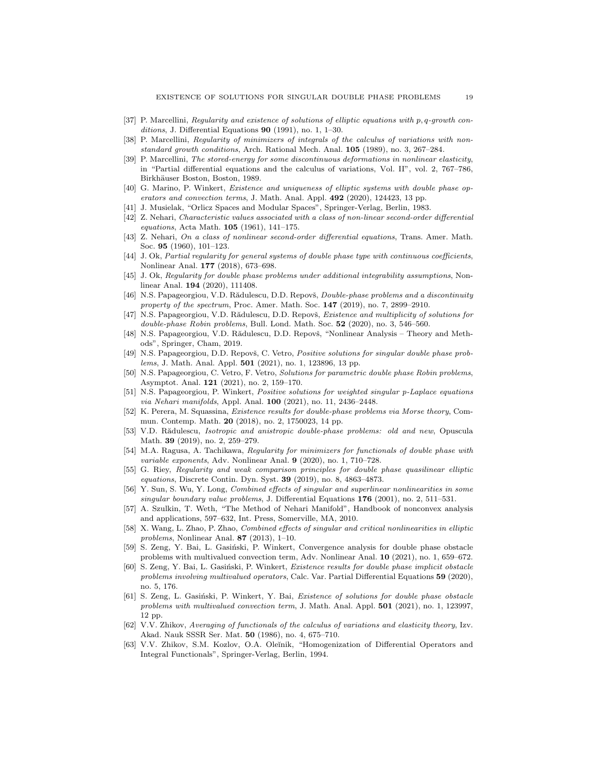- <span id="page-18-2"></span>[37] P. Marcellini, Regularity and existence of solutions of elliptic equations with p, q-growth conditions, J. Differential Equations  $90$  (1991), no. 1, 1–30.
- <span id="page-18-3"></span>[38] P. Marcellini, Regularity of minimizers of integrals of the calculus of variations with nonstandard growth conditions, Arch. Rational Mech. Anal. 105 (1989), no. 3, 267–284.
- <span id="page-18-4"></span>[39] P. Marcellini, The stored-energy for some discontinuous deformations in nonlinear elasticity, in "Partial differential equations and the calculus of variations, Vol. II", vol. 2, 767–786, Birkhäuser Boston, Boston, 1989.
- <span id="page-18-14"></span>[40] G. Marino, P. Winkert, Existence and uniqueness of elliptic systems with double phase operators and convection terms, J. Math. Anal. Appl. 492 (2020), 124423, 13 pp.
- <span id="page-18-25"></span>[41] J. Musielak, "Orlicz Spaces and Modular Spaces", Springer-Verlag, Berlin, 1983.
- <span id="page-18-9"></span>[42] Z. Nehari, Characteristic values associated with a class of non-linear second-order differential equations, Acta Math. 105 (1961), 141–175.
- <span id="page-18-10"></span>[43] Z. Nehari, On a class of nonlinear second-order differential equations, Trans. Amer. Math. Soc. 95 (1960), 101–123.
- <span id="page-18-5"></span>[44] J. Ok, Partial regularity for general systems of double phase type with continuous coefficients, Nonlinear Anal. 177 (2018), 673–698.
- <span id="page-18-6"></span>[45] J. Ok, Regularity for double phase problems under additional integrability assumptions, Nonlinear Anal. 194 (2020), 111408.
- <span id="page-18-20"></span>[46] N.S. Papageorgiou, V.D. Rădulescu, D.D. Repovš, Double-phase problems and a discontinuity property of the spectrum, Proc. Amer. Math. Soc.  $147$  (2019), no. 7, 2899–2910.
- <span id="page-18-15"></span>[47] N.S. Papageorgiou, V.D. Rădulescu, D.D. Repovš, *Existence and multiplicity of solutions for*  $double-phase~ Robin~problems, Bull.$  Lond. Math. Soc.  $52$  (2020), no. 3, 546–560.
- <span id="page-18-26"></span>[48] N.S. Papageorgiou, V.D. Rădulescu, D.D. Repovš, "Nonlinear Analysis – Theory and Methods", Springer, Cham, 2019.
- <span id="page-18-12"></span>[49] N.S. Papageorgiou, D.D. Repovš, C. Vetro, Positive solutions for singular double phase problems, J. Math. Anal. Appl. 501 (2021), no. 1, 123896, 13 pp.
- <span id="page-18-16"></span>[50] N.S. Papageorgiou, C. Vetro, F. Vetro, Solutions for parametric double phase Robin problems, Asymptot. Anal. 121 (2021), no. 2, 159–170.
- <span id="page-18-13"></span>[51] N.S. Papageorgiou, P. Winkert, Positive solutions for weighted singular p-Laplace equations via Nehari manifolds, Appl. Anal. 100 (2021), no. 11, 2436–2448.
- <span id="page-18-17"></span>[52] K. Perera, M. Squassina, Existence results for double-phase problems via Morse theory, Commun. Contemp. Math. 20 (2018), no. 2, 1750023, 14 pp.
- <span id="page-18-21"></span>[53] V.D. Rădulescu, *Isotropic and anistropic double-phase problems: old and new*, Opuscula Math. 39 (2019), no. 2, 259–279.
- <span id="page-18-7"></span>[54] M.A. Ragusa, A. Tachikawa, Regularity for minimizers for functionals of double phase with variable exponents, Adv. Nonlinear Anal. 9 (2020), no. 1, 710-728.
- <span id="page-18-8"></span>[55] G. Riey, Regularity and weak comparison principles for double phase quasilinear elliptic equations, Discrete Contin. Dyn. Syst. 39 (2019), no. 8, 4863–4873.
- <span id="page-18-22"></span>[56] Y. Sun, S. Wu, Y. Long, *Combined effects of singular and superlinear nonlinearities in some* singular boundary value problems, J. Differential Equations  $176$  (2001), no. 2, 511–531.
- <span id="page-18-11"></span>[57] A. Szulkin, T. Weth, "The Method of Nehari Manifold", Handbook of nonconvex analysis and applications, 597–632, Int. Press, Somerville, MA, 2010.
- <span id="page-18-23"></span>[58] X. Wang, L. Zhao, P. Zhao, Combined effects of singular and critical nonlinearities in elliptic problems, Nonlinear Anal. 87 (2013), 1–10.
- <span id="page-18-24"></span>[59] S. Zeng, Y. Bai, L. Gasiński, P. Winkert, Convergence analysis for double phase obstacle problems with multivalued convection term, Adv. Nonlinear Anal. 10 (2021), no. 1, 659–672.
- <span id="page-18-18"></span>[60] S. Zeng, Y. Bai, L. Gasiński, P. Winkert, Existence results for double phase implicit obstacle problems involving multivalued operators, Calc. Var. Partial Differential Equations 59 (2020), no. 5, 176.
- <span id="page-18-19"></span>[61] S. Zeng, L. Gasiński, P. Winkert, Y. Bai, Existence of solutions for double phase obstacle problems with multivalued convection term, J. Math. Anal. Appl. 501 (2021), no. 1, 123997, 12 pp.
- <span id="page-18-0"></span>[62] V.V. Zhikov, Averaging of functionals of the calculus of variations and elasticity theory, Izv. Akad. Nauk SSSR Ser. Mat. 50 (1986), no. 4, 675–710.
- <span id="page-18-1"></span>[63] V.V. Zhikov, S.M. Kozlov, O.A. Oleĭnik, "Homogenization of Differential Operators and Integral Functionals", Springer-Verlag, Berlin, 1994.